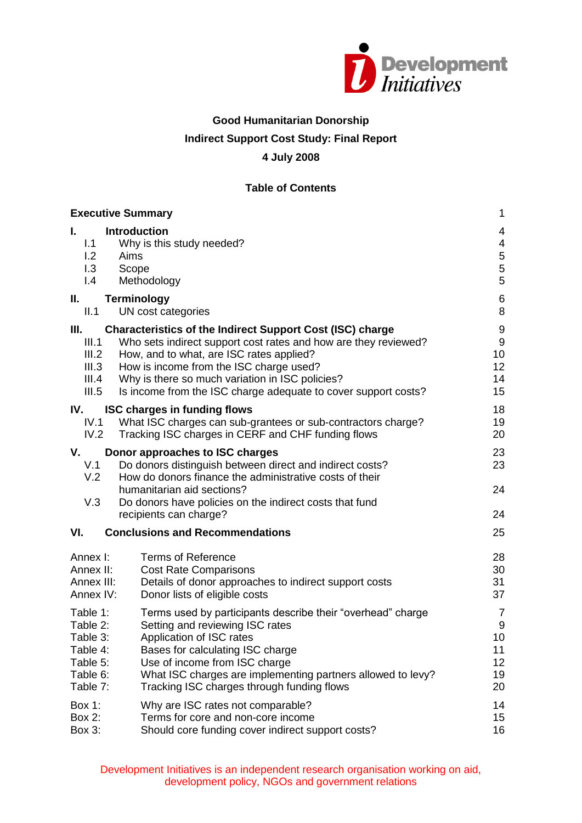

### **Good Humanitarian Donorship**

# **Indirect Support Cost Study: Final Report**

### **4 July 2008**

### **Table of Contents**

| <b>Executive Summary</b>                           |                                                                                                                                                                                      | $\mathbf{1}$                                  |
|----------------------------------------------------|--------------------------------------------------------------------------------------------------------------------------------------------------------------------------------------|-----------------------------------------------|
| L.<br>1.1<br>1.2<br>1.3<br>$\mathsf{I}.\mathsf{4}$ | <b>Introduction</b><br>Why is this study needed?<br>Aims<br>Scope<br>Methodology                                                                                                     | 4<br>$\overline{\mathbf{4}}$<br>$\frac{5}{5}$ |
| Ш.                                                 | <b>Terminology</b>                                                                                                                                                                   | $\,6$                                         |
| II.1                                               | UN cost categories                                                                                                                                                                   | 8                                             |
| III.                                               | <b>Characteristics of the Indirect Support Cost (ISC) charge</b>                                                                                                                     | $\boldsymbol{9}$                              |
| III.1                                              | Who sets indirect support cost rates and how are they reviewed?                                                                                                                      | $\boldsymbol{9}$                              |
| III.2                                              | How, and to what, are ISC rates applied?                                                                                                                                             | 10                                            |
| III.3                                              | How is income from the ISC charge used?                                                                                                                                              | 12                                            |
| III.4                                              | Why is there so much variation in ISC policies?                                                                                                                                      | 14                                            |
| III.5                                              | Is income from the ISC charge adequate to cover support costs?                                                                                                                       | 15                                            |
| IV.                                                | <b>ISC charges in funding flows</b>                                                                                                                                                  | 18                                            |
| IV.1                                               | What ISC charges can sub-grantees or sub-contractors charge?                                                                                                                         | 19                                            |
| IV.2                                               | Tracking ISC charges in CERF and CHF funding flows                                                                                                                                   | 20                                            |
| V.<br>V.1<br>V.2                                   | Donor approaches to ISC charges<br>Do donors distinguish between direct and indirect costs?<br>How do donors finance the administrative costs of their<br>humanitarian aid sections? | 23<br>23<br>24                                |
| V.3                                                | Do donors have policies on the indirect costs that fund<br>recipients can charge?                                                                                                    | 24                                            |
| VI.                                                | <b>Conclusions and Recommendations</b>                                                                                                                                               | 25                                            |
| Annex I:                                           | <b>Terms of Reference</b>                                                                                                                                                            | 28                                            |
| Annex II:                                          | <b>Cost Rate Comparisons</b>                                                                                                                                                         | 30                                            |
| Annex III:                                         | Details of donor approaches to indirect support costs                                                                                                                                | 31                                            |
| Annex IV:                                          | Donor lists of eligible costs                                                                                                                                                        | 37                                            |
| Table 1:                                           | Terms used by participants describe their "overhead" charge                                                                                                                          | $\overline{7}$                                |
| Table 2:                                           | Setting and reviewing ISC rates                                                                                                                                                      | $\boldsymbol{9}$                              |
| Table 3:                                           | Application of ISC rates                                                                                                                                                             | 10                                            |
| Table 4:                                           | Bases for calculating ISC charge                                                                                                                                                     | 11                                            |
| Table 5:                                           | Use of income from ISC charge                                                                                                                                                        | 12                                            |
| Table 6:                                           | What ISC charges are implementing partners allowed to levy?                                                                                                                          | 19                                            |
| Table 7:                                           | Tracking ISC charges through funding flows                                                                                                                                           | 20                                            |
| Box 1:                                             | Why are ISC rates not comparable?                                                                                                                                                    | 14                                            |
| Box 2:                                             | Terms for core and non-core income                                                                                                                                                   | 15                                            |
| Box 3:                                             | Should core funding cover indirect support costs?                                                                                                                                    | 16                                            |

Development Initiatives is an independent research organisation working on aid, development policy, NGOs and government relations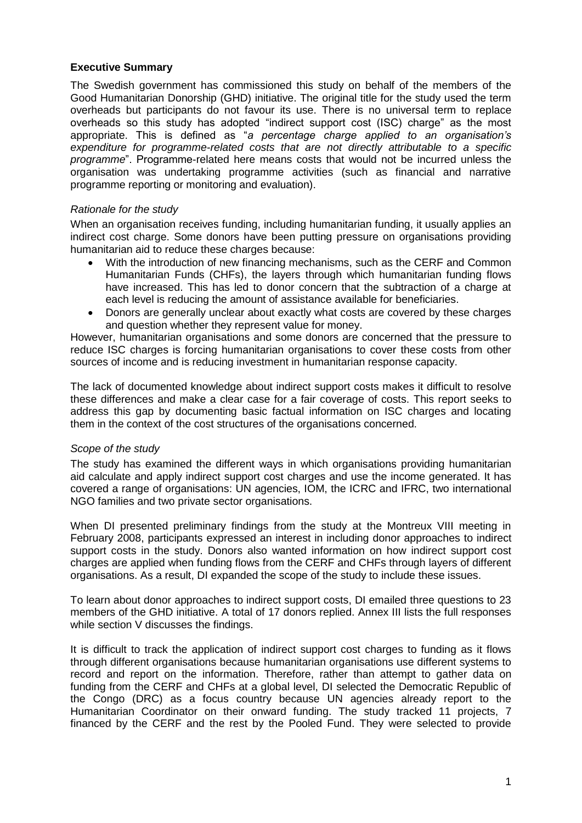#### **Executive Summary**

The Swedish government has commissioned this study on behalf of the members of the Good Humanitarian Donorship (GHD) initiative. The original title for the study used the term overheads but participants do not favour its use. There is no universal term to replace overheads so this study has adopted "indirect support cost (ISC) charge" as the most appropriate. This is defined as "*a percentage charge applied to an organisation's expenditure for programme-related costs that are not directly attributable to a specific programme*". Programme-related here means costs that would not be incurred unless the organisation was undertaking programme activities (such as financial and narrative programme reporting or monitoring and evaluation).

#### *Rationale for the study*

When an organisation receives funding, including humanitarian funding, it usually applies an indirect cost charge. Some donors have been putting pressure on organisations providing humanitarian aid to reduce these charges because:

- With the introduction of new financing mechanisms, such as the CERF and Common Humanitarian Funds (CHFs), the layers through which humanitarian funding flows have increased. This has led to donor concern that the subtraction of a charge at each level is reducing the amount of assistance available for beneficiaries.
- Donors are generally unclear about exactly what costs are covered by these charges and question whether they represent value for money.

However, humanitarian organisations and some donors are concerned that the pressure to reduce ISC charges is forcing humanitarian organisations to cover these costs from other sources of income and is reducing investment in humanitarian response capacity.

The lack of documented knowledge about indirect support costs makes it difficult to resolve these differences and make a clear case for a fair coverage of costs. This report seeks to address this gap by documenting basic factual information on ISC charges and locating them in the context of the cost structures of the organisations concerned.

#### *Scope of the study*

The study has examined the different ways in which organisations providing humanitarian aid calculate and apply indirect support cost charges and use the income generated. It has covered a range of organisations: UN agencies, IOM, the ICRC and IFRC, two international NGO families and two private sector organisations.

When DI presented preliminary findings from the study at the Montreux VIII meeting in February 2008, participants expressed an interest in including donor approaches to indirect support costs in the study. Donors also wanted information on how indirect support cost charges are applied when funding flows from the CERF and CHFs through layers of different organisations. As a result, DI expanded the scope of the study to include these issues.

To learn about donor approaches to indirect support costs, DI emailed three questions to 23 members of the GHD initiative. A total of 17 donors replied. Annex III lists the full responses while section V discusses the findings.

It is difficult to track the application of indirect support cost charges to funding as it flows through different organisations because humanitarian organisations use different systems to record and report on the information. Therefore, rather than attempt to gather data on funding from the CERF and CHFs at a global level, DI selected the Democratic Republic of the Congo (DRC) as a focus country because UN agencies already report to the Humanitarian Coordinator on their onward funding. The study tracked 11 projects, 7 financed by the CERF and the rest by the Pooled Fund. They were selected to provide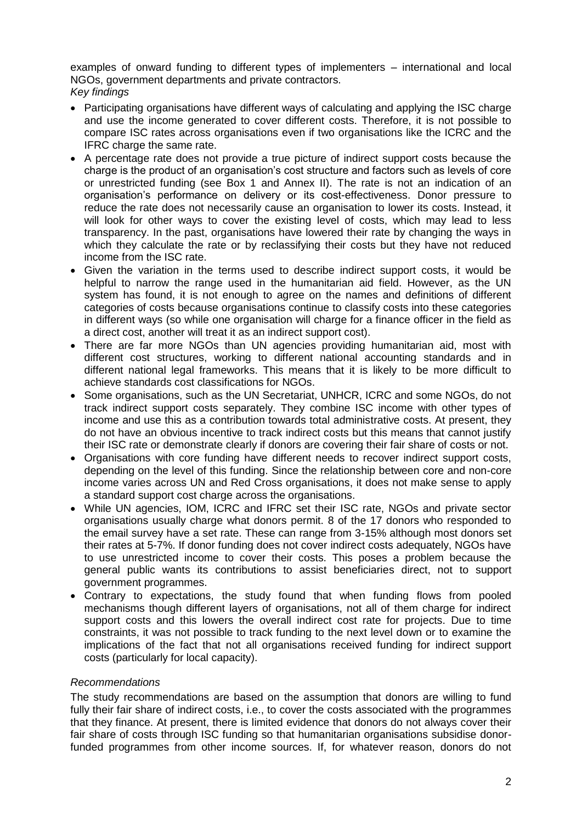examples of onward funding to different types of implementers – international and local NGOs, government departments and private contractors. *Key findings*

- Participating organisations have different ways of calculating and applying the ISC charge and use the income generated to cover different costs. Therefore, it is not possible to compare ISC rates across organisations even if two organisations like the ICRC and the IFRC charge the same rate.
- A percentage rate does not provide a true picture of indirect support costs because the charge is the product of an organisation's cost structure and factors such as levels of core or unrestricted funding (see Box 1 and Annex II). The rate is not an indication of an organisation's performance on delivery or its cost-effectiveness. Donor pressure to reduce the rate does not necessarily cause an organisation to lower its costs. Instead, it will look for other ways to cover the existing level of costs, which may lead to less transparency. In the past, organisations have lowered their rate by changing the ways in which they calculate the rate or by reclassifying their costs but they have not reduced income from the ISC rate.
- Given the variation in the terms used to describe indirect support costs, it would be helpful to narrow the range used in the humanitarian aid field. However, as the UN system has found, it is not enough to agree on the names and definitions of different categories of costs because organisations continue to classify costs into these categories in different ways (so while one organisation will charge for a finance officer in the field as a direct cost, another will treat it as an indirect support cost).
- There are far more NGOs than UN agencies providing humanitarian aid, most with different cost structures, working to different national accounting standards and in different national legal frameworks. This means that it is likely to be more difficult to achieve standards cost classifications for NGOs.
- Some organisations, such as the UN Secretariat, UNHCR, ICRC and some NGOs, do not track indirect support costs separately. They combine ISC income with other types of income and use this as a contribution towards total administrative costs. At present, they do not have an obvious incentive to track indirect costs but this means that cannot justify their ISC rate or demonstrate clearly if donors are covering their fair share of costs or not.
- Organisations with core funding have different needs to recover indirect support costs, depending on the level of this funding. Since the relationship between core and non-core income varies across UN and Red Cross organisations, it does not make sense to apply a standard support cost charge across the organisations.
- While UN agencies, IOM, ICRC and IFRC set their ISC rate, NGOs and private sector organisations usually charge what donors permit. 8 of the 17 donors who responded to the email survey have a set rate. These can range from 3-15% although most donors set their rates at 5-7%. If donor funding does not cover indirect costs adequately, NGOs have to use unrestricted income to cover their costs. This poses a problem because the general public wants its contributions to assist beneficiaries direct, not to support government programmes.
- Contrary to expectations, the study found that when funding flows from pooled mechanisms though different layers of organisations, not all of them charge for indirect support costs and this lowers the overall indirect cost rate for projects. Due to time constraints, it was not possible to track funding to the next level down or to examine the implications of the fact that not all organisations received funding for indirect support costs (particularly for local capacity).

## *Recommendations*

The study recommendations are based on the assumption that donors are willing to fund fully their fair share of indirect costs, i.e., to cover the costs associated with the programmes that they finance. At present, there is limited evidence that donors do not always cover their fair share of costs through ISC funding so that humanitarian organisations subsidise donorfunded programmes from other income sources. If, for whatever reason, donors do not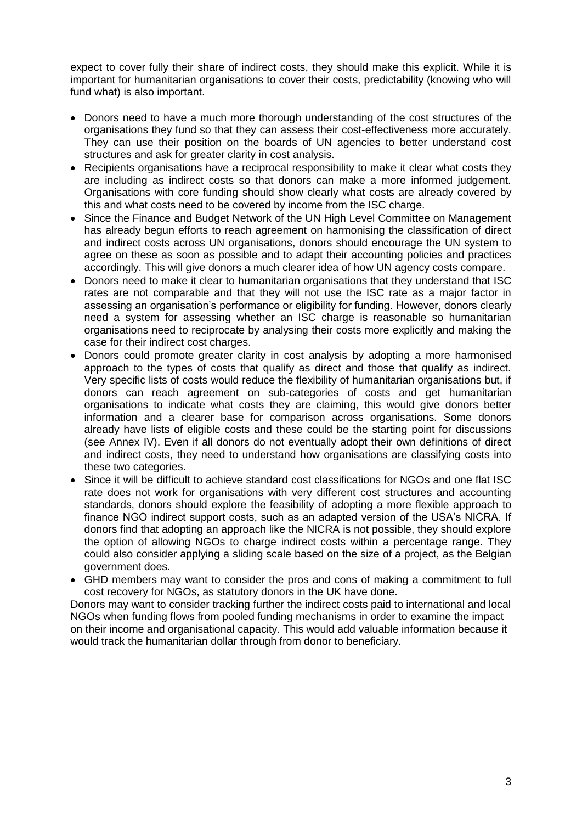expect to cover fully their share of indirect costs, they should make this explicit. While it is important for humanitarian organisations to cover their costs, predictability (knowing who will fund what) is also important.

- Donors need to have a much more thorough understanding of the cost structures of the organisations they fund so that they can assess their cost-effectiveness more accurately. They can use their position on the boards of UN agencies to better understand cost structures and ask for greater clarity in cost analysis.
- Recipients organisations have a reciprocal responsibility to make it clear what costs they are including as indirect costs so that donors can make a more informed judgement. Organisations with core funding should show clearly what costs are already covered by this and what costs need to be covered by income from the ISC charge.
- Since the Finance and Budget Network of the UN High Level Committee on Management has already begun efforts to reach agreement on harmonising the classification of direct and indirect costs across UN organisations, donors should encourage the UN system to agree on these as soon as possible and to adapt their accounting policies and practices accordingly. This will give donors a much clearer idea of how UN agency costs compare.
- Donors need to make it clear to humanitarian organisations that they understand that ISC rates are not comparable and that they will not use the ISC rate as a major factor in assessing an organisation's performance or eligibility for funding. However, donors clearly need a system for assessing whether an ISC charge is reasonable so humanitarian organisations need to reciprocate by analysing their costs more explicitly and making the case for their indirect cost charges.
- Donors could promote greater clarity in cost analysis by adopting a more harmonised approach to the types of costs that qualify as direct and those that qualify as indirect. Very specific lists of costs would reduce the flexibility of humanitarian organisations but, if donors can reach agreement on sub-categories of costs and get humanitarian organisations to indicate what costs they are claiming, this would give donors better information and a clearer base for comparison across organisations. Some donors already have lists of eligible costs and these could be the starting point for discussions (see Annex IV). Even if all donors do not eventually adopt their own definitions of direct and indirect costs, they need to understand how organisations are classifying costs into these two categories.
- Since it will be difficult to achieve standard cost classifications for NGOs and one flat ISC rate does not work for organisations with very different cost structures and accounting standards, donors should explore the feasibility of adopting a more flexible approach to finance NGO indirect support costs, such as an adapted version of the USA's NICRA. If donors find that adopting an approach like the NICRA is not possible, they should explore the option of allowing NGOs to charge indirect costs within a percentage range. They could also consider applying a sliding scale based on the size of a project, as the Belgian government does.
- GHD members may want to consider the pros and cons of making a commitment to full cost recovery for NGOs, as statutory donors in the UK have done.

Donors may want to consider tracking further the indirect costs paid to international and local NGOs when funding flows from pooled funding mechanisms in order to examine the impact on their income and organisational capacity. This would add valuable information because it would track the humanitarian dollar through from donor to beneficiary.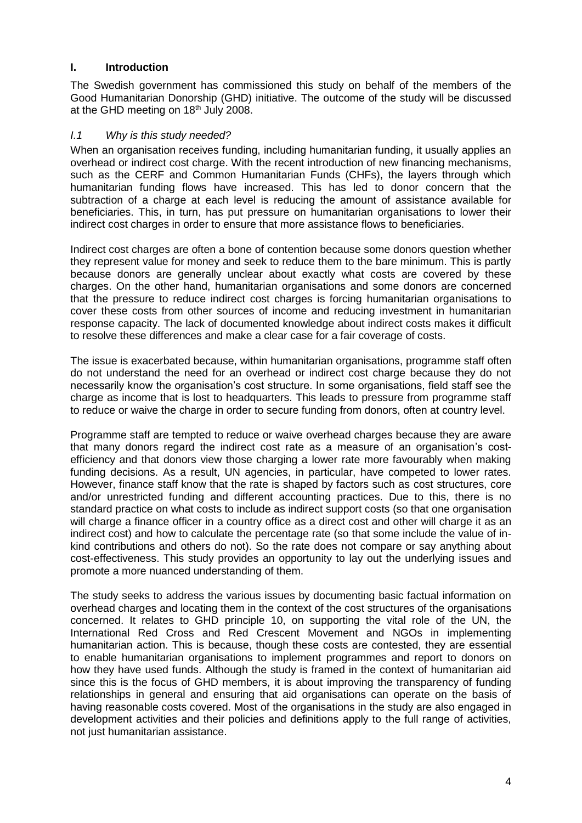### **I. Introduction**

The Swedish government has commissioned this study on behalf of the members of the Good Humanitarian Donorship (GHD) initiative. The outcome of the study will be discussed at the GHD meeting on 18<sup>th</sup> July 2008.

### *I.1 Why is this study needed?*

When an organisation receives funding, including humanitarian funding, it usually applies an overhead or indirect cost charge. With the recent introduction of new financing mechanisms, such as the CERF and Common Humanitarian Funds (CHFs), the layers through which humanitarian funding flows have increased. This has led to donor concern that the subtraction of a charge at each level is reducing the amount of assistance available for beneficiaries. This, in turn, has put pressure on humanitarian organisations to lower their indirect cost charges in order to ensure that more assistance flows to beneficiaries.

Indirect cost charges are often a bone of contention because some donors question whether they represent value for money and seek to reduce them to the bare minimum. This is partly because donors are generally unclear about exactly what costs are covered by these charges. On the other hand, humanitarian organisations and some donors are concerned that the pressure to reduce indirect cost charges is forcing humanitarian organisations to cover these costs from other sources of income and reducing investment in humanitarian response capacity. The lack of documented knowledge about indirect costs makes it difficult to resolve these differences and make a clear case for a fair coverage of costs.

The issue is exacerbated because, within humanitarian organisations, programme staff often do not understand the need for an overhead or indirect cost charge because they do not necessarily know the organisation's cost structure. In some organisations, field staff see the charge as income that is lost to headquarters. This leads to pressure from programme staff to reduce or waive the charge in order to secure funding from donors, often at country level.

Programme staff are tempted to reduce or waive overhead charges because they are aware that many donors regard the indirect cost rate as a measure of an organisation's costefficiency and that donors view those charging a lower rate more favourably when making funding decisions. As a result, UN agencies, in particular, have competed to lower rates. However, finance staff know that the rate is shaped by factors such as cost structures, core and/or unrestricted funding and different accounting practices. Due to this, there is no standard practice on what costs to include as indirect support costs (so that one organisation will charge a finance officer in a country office as a direct cost and other will charge it as an indirect cost) and how to calculate the percentage rate (so that some include the value of inkind contributions and others do not). So the rate does not compare or say anything about cost-effectiveness. This study provides an opportunity to lay out the underlying issues and promote a more nuanced understanding of them.

The study seeks to address the various issues by documenting basic factual information on overhead charges and locating them in the context of the cost structures of the organisations concerned. It relates to GHD principle 10, on supporting the vital role of the UN, the International Red Cross and Red Crescent Movement and NGOs in implementing humanitarian action. This is because, though these costs are contested, they are essential to enable humanitarian organisations to implement programmes and report to donors on how they have used funds. Although the study is framed in the context of humanitarian aid since this is the focus of GHD members, it is about improving the transparency of funding relationships in general and ensuring that aid organisations can operate on the basis of having reasonable costs covered. Most of the organisations in the study are also engaged in development activities and their policies and definitions apply to the full range of activities, not just humanitarian assistance.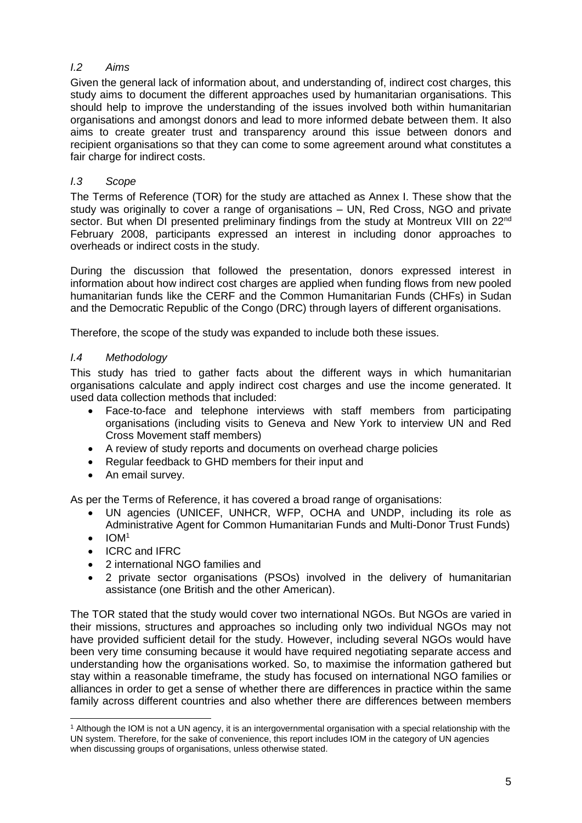# *I.2 Aims*

Given the general lack of information about, and understanding of, indirect cost charges, this study aims to document the different approaches used by humanitarian organisations. This should help to improve the understanding of the issues involved both within humanitarian organisations and amongst donors and lead to more informed debate between them. It also aims to create greater trust and transparency around this issue between donors and recipient organisations so that they can come to some agreement around what constitutes a fair charge for indirect costs.

# *I.3 Scope*

The Terms of Reference (TOR) for the study are attached as Annex I. These show that the study was originally to cover a range of organisations – UN, Red Cross, NGO and private sector. But when DI presented preliminary findings from the study at Montreux VIII on 22<sup>nd</sup> February 2008, participants expressed an interest in including donor approaches to overheads or indirect costs in the study.

During the discussion that followed the presentation, donors expressed interest in information about how indirect cost charges are applied when funding flows from new pooled humanitarian funds like the CERF and the Common Humanitarian Funds (CHFs) in Sudan and the Democratic Republic of the Congo (DRC) through layers of different organisations.

Therefore, the scope of the study was expanded to include both these issues.

## *I.4 Methodology*

This study has tried to gather facts about the different ways in which humanitarian organisations calculate and apply indirect cost charges and use the income generated. It used data collection methods that included:

- Face-to-face and telephone interviews with staff members from participating organisations (including visits to Geneva and New York to interview UN and Red Cross Movement staff members)
- A review of study reports and documents on overhead charge policies
- Regular feedback to GHD members for their input and
- An email survey.

As per the Terms of Reference, it has covered a broad range of organisations:

- UN agencies (UNICEF, UNHCR, WFP, OCHA and UNDP, including its role as Administrative Agent for Common Humanitarian Funds and Multi-Donor Trust Funds)
- $\bullet$  IOM<sup>1</sup>
- ICRC and IFRC
- 2 international NGO families and
- 2 private sector organisations (PSOs) involved in the delivery of humanitarian assistance (one British and the other American).

The TOR stated that the study would cover two international NGOs. But NGOs are varied in their missions, structures and approaches so including only two individual NGOs may not have provided sufficient detail for the study. However, including several NGOs would have been very time consuming because it would have required negotiating separate access and understanding how the organisations worked. So, to maximise the information gathered but stay within a reasonable timeframe, the study has focused on international NGO families or alliances in order to get a sense of whether there are differences in practice within the same family across different countries and also whether there are differences between members

<sup>1</sup> <sup>1</sup> Although the IOM is not a UN agency, it is an intergovernmental organisation with a special relationship with the UN system. Therefore, for the sake of convenience, this report includes IOM in the category of UN agencies when discussing groups of organisations, unless otherwise stated.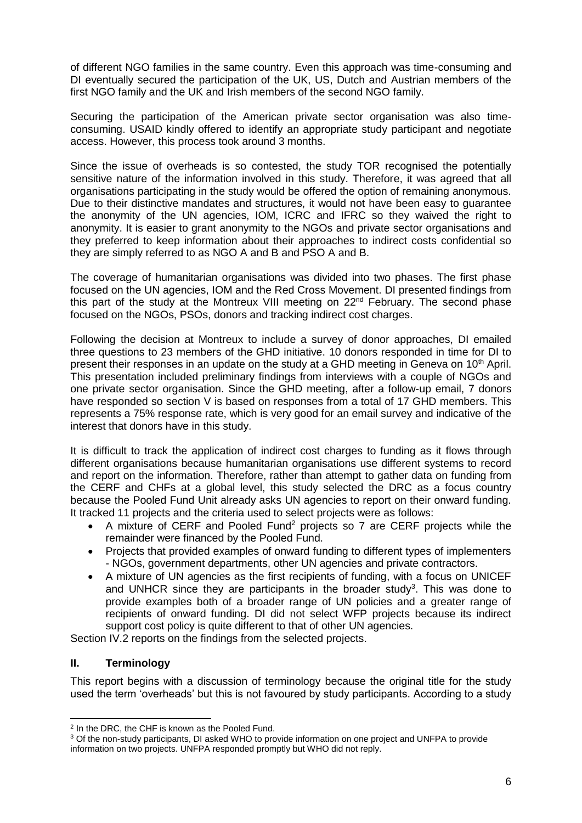of different NGO families in the same country. Even this approach was time-consuming and DI eventually secured the participation of the UK, US, Dutch and Austrian members of the first NGO family and the UK and Irish members of the second NGO family.

Securing the participation of the American private sector organisation was also timeconsuming. USAID kindly offered to identify an appropriate study participant and negotiate access. However, this process took around 3 months.

Since the issue of overheads is so contested, the study TOR recognised the potentially sensitive nature of the information involved in this study. Therefore, it was agreed that all organisations participating in the study would be offered the option of remaining anonymous. Due to their distinctive mandates and structures, it would not have been easy to guarantee the anonymity of the UN agencies, IOM, ICRC and IFRC so they waived the right to anonymity. It is easier to grant anonymity to the NGOs and private sector organisations and they preferred to keep information about their approaches to indirect costs confidential so they are simply referred to as NGO A and B and PSO A and B.

The coverage of humanitarian organisations was divided into two phases. The first phase focused on the UN agencies, IOM and the Red Cross Movement. DI presented findings from this part of the study at the Montreux VIII meeting on  $22<sup>nd</sup>$  February. The second phase focused on the NGOs, PSOs, donors and tracking indirect cost charges.

Following the decision at Montreux to include a survey of donor approaches, DI emailed three questions to 23 members of the GHD initiative. 10 donors responded in time for DI to present their responses in an update on the study at a GHD meeting in Geneva on  $10<sup>th</sup>$  April. This presentation included preliminary findings from interviews with a couple of NGOs and one private sector organisation. Since the GHD meeting, after a follow-up email, 7 donors have responded so section V is based on responses from a total of 17 GHD members. This represents a 75% response rate, which is very good for an email survey and indicative of the interest that donors have in this study.

It is difficult to track the application of indirect cost charges to funding as it flows through different organisations because humanitarian organisations use different systems to record and report on the information. Therefore, rather than attempt to gather data on funding from the CERF and CHFs at a global level, this study selected the DRC as a focus country because the Pooled Fund Unit already asks UN agencies to report on their onward funding. It tracked 11 projects and the criteria used to select projects were as follows:

- A mixture of CERF and Pooled Fund<sup>2</sup> projects so 7 are CERF projects while the remainder were financed by the Pooled Fund.
- Projects that provided examples of onward funding to different types of implementers - NGOs, government departments, other UN agencies and private contractors.
- A mixture of UN agencies as the first recipients of funding, with a focus on UNICEF and UNHCR since they are participants in the broader study<sup>3</sup>. This was done to provide examples both of a broader range of UN policies and a greater range of recipients of onward funding. DI did not select WFP projects because its indirect support cost policy is quite different to that of other UN agencies.

Section IV.2 reports on the findings from the selected projects.

## **II. Terminology**

This report begins with a discussion of terminology because the original title for the study used the term 'overheads' but this is not favoured by study participants. According to a study

<sup>1</sup> <sup>2</sup> In the DRC, the CHF is known as the Pooled Fund.

<sup>3</sup> Of the non-study participants, DI asked WHO to provide information on one project and UNFPA to provide information on two projects. UNFPA responded promptly but WHO did not reply.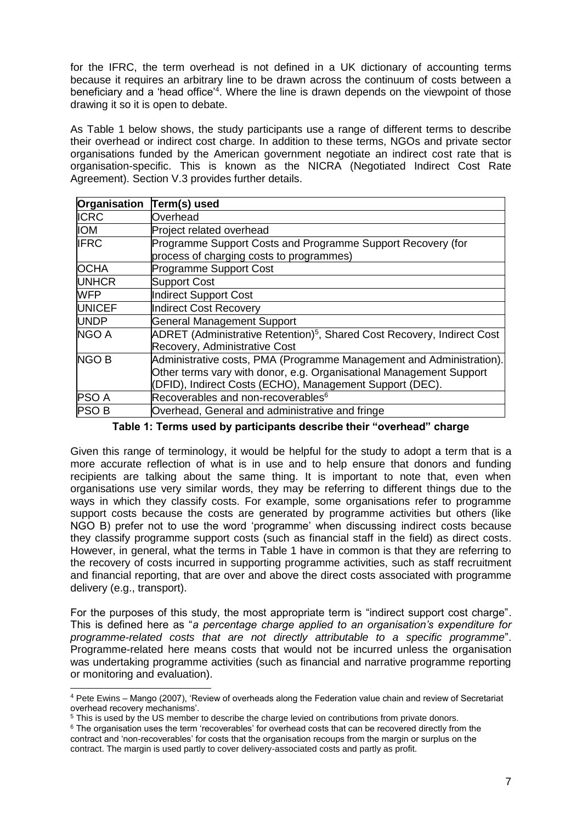for the IFRC, the term overhead is not defined in a UK dictionary of accounting terms because it requires an arbitrary line to be drawn across the continuum of costs between a beneficiary and a 'head office'<sup>4</sup> . Where the line is drawn depends on the viewpoint of those drawing it so it is open to debate.

As Table 1 below shows, the study participants use a range of different terms to describe their overhead or indirect cost charge. In addition to these terms, NGOs and private sector organisations funded by the American government negotiate an indirect cost rate that is organisation-specific. This is known as the NICRA (Negotiated Indirect Cost Rate Agreement). Section V.3 provides further details.

| Organisation  | Term(s) used                                                                        |
|---------------|-------------------------------------------------------------------------------------|
| <b>ICRC</b>   | Overhead                                                                            |
| <b>IOM</b>    | Project related overhead                                                            |
| <b>IFRC</b>   | Programme Support Costs and Programme Support Recovery (for                         |
|               | process of charging costs to programmes)                                            |
| <b>OCHA</b>   | Programme Support Cost                                                              |
| <b>UNHCR</b>  | <b>Support Cost</b>                                                                 |
| <b>WFP</b>    | Indirect Support Cost                                                               |
| <b>UNICEF</b> | Indirect Cost Recovery                                                              |
| <b>UNDP</b>   | <b>General Management Support</b>                                                   |
| NGO A         | ADRET (Administrative Retention) <sup>5</sup> , Shared Cost Recovery, Indirect Cost |
|               | Recovery, Administrative Cost                                                       |
| <b>NGO B</b>  | Administrative costs, PMA (Programme Management and Administration).                |
|               | Other terms vary with donor, e.g. Organisational Management Support                 |
|               | (DFID), Indirect Costs (ECHO), Management Support (DEC).                            |
| <b>PSO A</b>  | Recoverables and non-recoverables <sup>6</sup>                                      |
| <b>PSOB</b>   | Overhead, General and administrative and fringe                                     |

**Table 1: Terms used by participants describe their "overhead" charge**

Given this range of terminology, it would be helpful for the study to adopt a term that is a more accurate reflection of what is in use and to help ensure that donors and funding recipients are talking about the same thing. It is important to note that, even when organisations use very similar words, they may be referring to different things due to the ways in which they classify costs. For example, some organisations refer to programme support costs because the costs are generated by programme activities but others (like NGO B) prefer not to use the word 'programme' when discussing indirect costs because they classify programme support costs (such as financial staff in the field) as direct costs. However, in general, what the terms in Table 1 have in common is that they are referring to the recovery of costs incurred in supporting programme activities, such as staff recruitment and financial reporting, that are over and above the direct costs associated with programme delivery (e.g., transport).

For the purposes of this study, the most appropriate term is "indirect support cost charge". This is defined here as "*a percentage charge applied to an organisation's expenditure for programme-related costs that are not directly attributable to a specific programme*". Programme-related here means costs that would not be incurred unless the organisation was undertaking programme activities (such as financial and narrative programme reporting or monitoring and evaluation).

<sup>1</sup> <sup>4</sup> Pete Ewins – Mango (2007), 'Review of overheads along the Federation value chain and review of Secretariat overhead recovery mechanisms'.

 $5$  This is used by the US member to describe the charge levied on contributions from private donors.

<sup>&</sup>lt;sup>6</sup> The organisation uses the term 'recoverables' for overhead costs that can be recovered directly from the contract and 'non-recoverables' for costs that the organisation recoups from the margin or surplus on the contract. The margin is used partly to cover delivery-associated costs and partly as profit.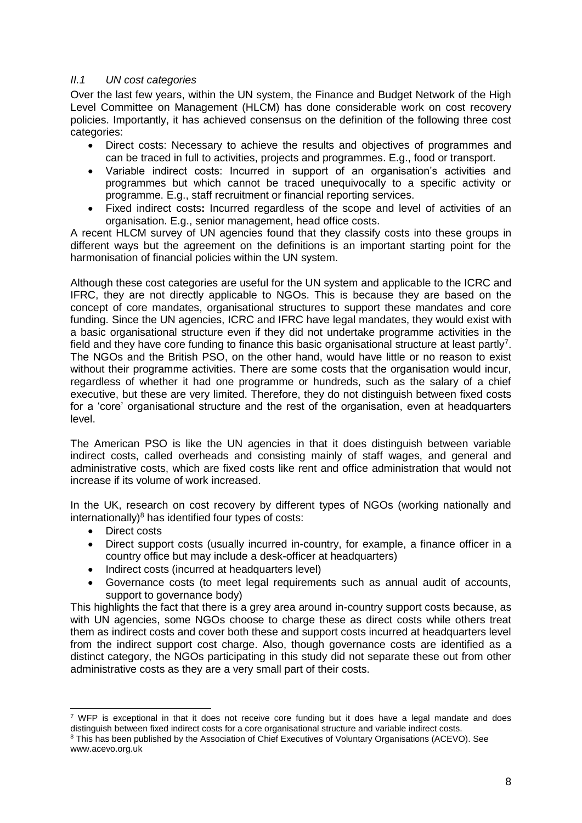### *II.1 UN cost categories*

Over the last few years, within the UN system, the Finance and Budget Network of the High Level Committee on Management (HLCM) has done considerable work on cost recovery policies. Importantly, it has achieved consensus on the definition of the following three cost categories:

- Direct costs: Necessary to achieve the results and objectives of programmes and can be traced in full to activities, projects and programmes. E.g., food or transport.
- Variable indirect costs: Incurred in support of an organisation's activities and programmes but which cannot be traced unequivocally to a specific activity or programme. E.g., staff recruitment or financial reporting services.
- Fixed indirect costs**:** Incurred regardless of the scope and level of activities of an organisation. E.g., senior management, head office costs.

A recent HLCM survey of UN agencies found that they classify costs into these groups in different ways but the agreement on the definitions is an important starting point for the harmonisation of financial policies within the UN system.

Although these cost categories are useful for the UN system and applicable to the ICRC and IFRC, they are not directly applicable to NGOs. This is because they are based on the concept of core mandates, organisational structures to support these mandates and core funding. Since the UN agencies, ICRC and IFRC have legal mandates, they would exist with a basic organisational structure even if they did not undertake programme activities in the field and they have core funding to finance this basic organisational structure at least partly<sup>7</sup>. The NGOs and the British PSO, on the other hand, would have little or no reason to exist without their programme activities. There are some costs that the organisation would incur, regardless of whether it had one programme or hundreds, such as the salary of a chief executive, but these are very limited. Therefore, they do not distinguish between fixed costs for a 'core' organisational structure and the rest of the organisation, even at headquarters level.

The American PSO is like the UN agencies in that it does distinguish between variable indirect costs, called overheads and consisting mainly of staff wages, and general and administrative costs, which are fixed costs like rent and office administration that would not increase if its volume of work increased.

In the UK, research on cost recovery by different types of NGOs (working nationally and internationally) $8$  has identified four types of costs:

- Direct costs
- Direct support costs (usually incurred in-country, for example, a finance officer in a country office but may include a desk-officer at headquarters)
- Indirect costs (incurred at headquarters level)
- Governance costs (to meet legal requirements such as annual audit of accounts, support to governance body)

This highlights the fact that there is a grey area around in-country support costs because, as with UN agencies, some NGOs choose to charge these as direct costs while others treat them as indirect costs and cover both these and support costs incurred at headquarters level from the indirect support cost charge. Also, though governance costs are identified as a distinct category, the NGOs participating in this study did not separate these out from other administrative costs as they are a very small part of their costs.

<sup>-</sup> $7$  WFP is exceptional in that it does not receive core funding but it does have a legal mandate and does distinguish between fixed indirect costs for a core organisational structure and variable indirect costs.

<sup>8</sup> This has been published by the Association of Chief Executives of Voluntary Organisations (ACEVO). See www.acevo.org.uk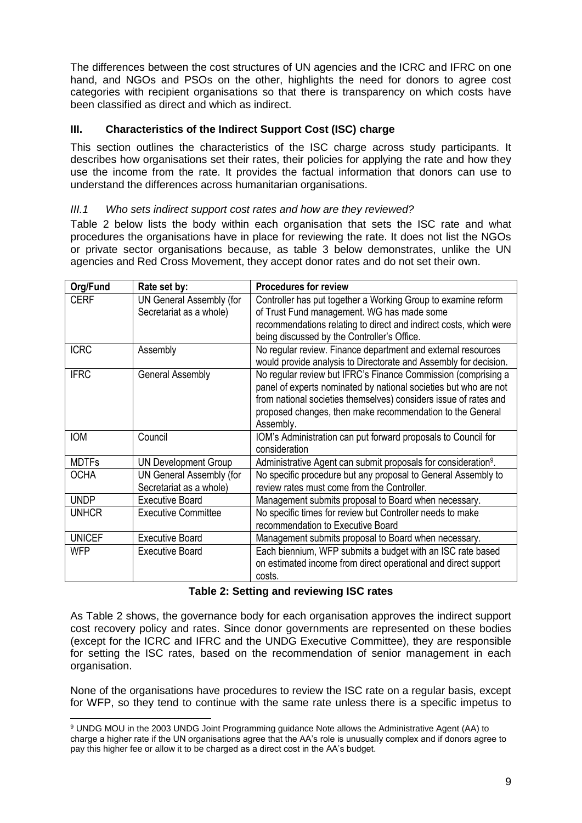The differences between the cost structures of UN agencies and the ICRC and IFRC on one hand, and NGOs and PSOs on the other, highlights the need for donors to agree cost categories with recipient organisations so that there is transparency on which costs have been classified as direct and which as indirect.

# **III. Characteristics of the Indirect Support Cost (ISC) charge**

This section outlines the characteristics of the ISC charge across study participants. It describes how organisations set their rates, their policies for applying the rate and how they use the income from the rate. It provides the factual information that donors can use to understand the differences across humanitarian organisations.

### *III.1 Who sets indirect support cost rates and how are they reviewed?*

Table 2 below lists the body within each organisation that sets the ISC rate and what procedures the organisations have in place for reviewing the rate. It does not list the NGOs or private sector organisations because, as table 3 below demonstrates, unlike the UN agencies and Red Cross Movement, they accept donor rates and do not set their own.

| Org/Fund      | Rate set by:                    | <b>Procedures for review</b>                                               |
|---------------|---------------------------------|----------------------------------------------------------------------------|
| <b>CERF</b>   | UN General Assembly (for        | Controller has put together a Working Group to examine reform              |
|               | Secretariat as a whole)         | of Trust Fund management. WG has made some                                 |
|               |                                 | recommendations relating to direct and indirect costs, which were          |
|               |                                 | being discussed by the Controller's Office.                                |
| <b>ICRC</b>   | Assembly                        | No regular review. Finance department and external resources               |
|               |                                 | would provide analysis to Directorate and Assembly for decision.           |
| <b>IFRC</b>   | <b>General Assembly</b>         | No regular review but IFRC's Finance Commission (comprising a              |
|               |                                 | panel of experts nominated by national societies but who are not           |
|               |                                 | from national societies themselves) considers issue of rates and           |
|               |                                 | proposed changes, then make recommendation to the General                  |
|               |                                 | Assembly.                                                                  |
| <b>IOM</b>    | Council                         | IOM's Administration can put forward proposals to Council for              |
|               |                                 | consideration                                                              |
| <b>MDTFs</b>  | <b>UN Development Group</b>     | Administrative Agent can submit proposals for consideration <sup>9</sup> . |
| <b>OCHA</b>   | <b>UN General Assembly (for</b> | No specific procedure but any proposal to General Assembly to              |
|               | Secretariat as a whole)         | review rates must come from the Controller.                                |
| <b>UNDP</b>   | <b>Executive Board</b>          | Management submits proposal to Board when necessary.                       |
| <b>UNHCR</b>  | <b>Executive Committee</b>      | No specific times for review but Controller needs to make                  |
|               |                                 | recommendation to Executive Board                                          |
| <b>UNICEF</b> | <b>Executive Board</b>          | Management submits proposal to Board when necessary.                       |
| <b>WFP</b>    | <b>Executive Board</b>          | Each biennium, WFP submits a budget with an ISC rate based                 |
|               |                                 | on estimated income from direct operational and direct support             |
|               |                                 | costs.                                                                     |

#### **Table 2: Setting and reviewing ISC rates**

As Table 2 shows, the governance body for each organisation approves the indirect support cost recovery policy and rates. Since donor governments are represented on these bodies (except for the ICRC and IFRC and the UNDG Executive Committee), they are responsible for setting the ISC rates, based on the recommendation of senior management in each organisation.

None of the organisations have procedures to review the ISC rate on a regular basis, except for WFP, so they tend to continue with the same rate unless there is a specific impetus to

1

<sup>9</sup> UNDG MOU in the 2003 UNDG Joint Programming guidance Note allows the Administrative Agent (AA) to charge a higher rate if the UN organisations agree that the AA's role is unusually complex and if donors agree to pay this higher fee or allow it to be charged as a direct cost in the AA's budget.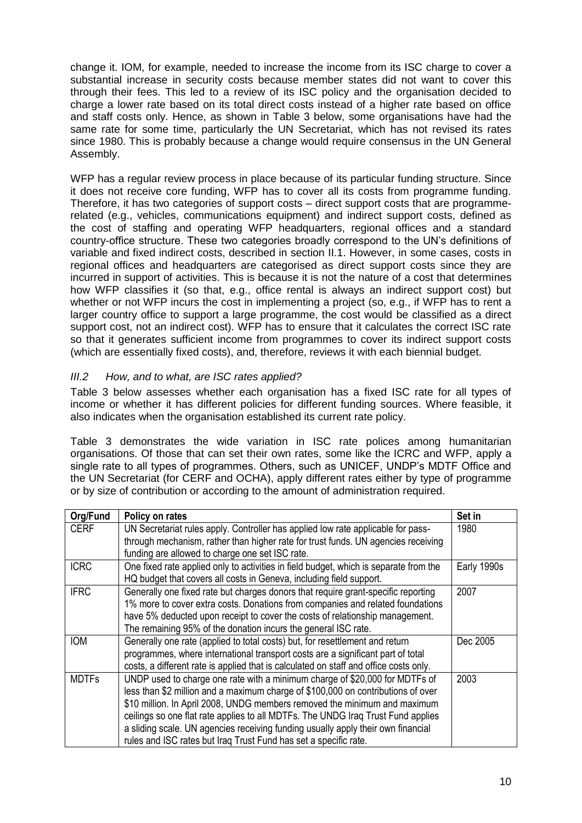change it. IOM, for example, needed to increase the income from its ISC charge to cover a substantial increase in security costs because member states did not want to cover this through their fees. This led to a review of its ISC policy and the organisation decided to charge a lower rate based on its total direct costs instead of a higher rate based on office and staff costs only. Hence, as shown in Table 3 below, some organisations have had the same rate for some time, particularly the UN Secretariat, which has not revised its rates since 1980. This is probably because a change would require consensus in the UN General Assembly.

WFP has a regular review process in place because of its particular funding structure. Since it does not receive core funding, WFP has to cover all its costs from programme funding. Therefore, it has two categories of support costs – direct support costs that are programmerelated (e.g., vehicles, communications equipment) and indirect support costs, defined as the cost of staffing and operating WFP headquarters, regional offices and a standard country-office structure. These two categories broadly correspond to the UN's definitions of variable and fixed indirect costs, described in section II.1. However, in some cases, costs in regional offices and headquarters are categorised as direct support costs since they are incurred in support of activities. This is because it is not the nature of a cost that determines how WFP classifies it (so that, e.g., office rental is always an indirect support cost) but whether or not WFP incurs the cost in implementing a project (so, e.g., if WFP has to rent a larger country office to support a large programme, the cost would be classified as a direct support cost, not an indirect cost). WFP has to ensure that it calculates the correct ISC rate so that it generates sufficient income from programmes to cover its indirect support costs (which are essentially fixed costs), and, therefore, reviews it with each biennial budget.

## *III.2 How, and to what, are ISC rates applied?*

Table 3 below assesses whether each organisation has a fixed ISC rate for all types of income or whether it has different policies for different funding sources. Where feasible, it also indicates when the organisation established its current rate policy.

Table 3 demonstrates the wide variation in ISC rate polices among humanitarian organisations. Of those that can set their own rates, some like the ICRC and WFP, apply a single rate to all types of programmes. Others, such as UNICEF, UNDP's MDTF Office and the UN Secretariat (for CERF and OCHA), apply different rates either by type of programme or by size of contribution or according to the amount of administration required.

| Org/Fund     | Policy on rates                                                                                                                                                                                                                                                                                                                                                                                                                                                                          | Set in      |
|--------------|------------------------------------------------------------------------------------------------------------------------------------------------------------------------------------------------------------------------------------------------------------------------------------------------------------------------------------------------------------------------------------------------------------------------------------------------------------------------------------------|-------------|
| <b>CERF</b>  | UN Secretariat rules apply. Controller has applied low rate applicable for pass-<br>through mechanism, rather than higher rate for trust funds. UN agencies receiving<br>funding are allowed to charge one set ISC rate.                                                                                                                                                                                                                                                                 | 1980        |
| <b>ICRC</b>  | One fixed rate applied only to activities in field budget, which is separate from the<br>HQ budget that covers all costs in Geneva, including field support.                                                                                                                                                                                                                                                                                                                             | Early 1990s |
| <b>IFRC</b>  | Generally one fixed rate but charges donors that require grant-specific reporting<br>1% more to cover extra costs. Donations from companies and related foundations<br>have 5% deducted upon receipt to cover the costs of relationship management.<br>The remaining 95% of the donation incurs the general ISC rate.                                                                                                                                                                    | 2007        |
| <b>IOM</b>   | Generally one rate (applied to total costs) but, for resettlement and return<br>programmes, where international transport costs are a significant part of total<br>costs, a different rate is applied that is calculated on staff and office costs only.                                                                                                                                                                                                                                 | Dec 2005    |
| <b>MDTFs</b> | UNDP used to charge one rate with a minimum charge of \$20,000 for MDTFs of<br>less than \$2 million and a maximum charge of \$100,000 on contributions of over<br>\$10 million. In April 2008, UNDG members removed the minimum and maximum<br>ceilings so one flat rate applies to all MDTFs. The UNDG Iraq Trust Fund applies<br>a sliding scale. UN agencies receiving funding usually apply their own financial<br>rules and ISC rates but Iraq Trust Fund has set a specific rate. | 2003        |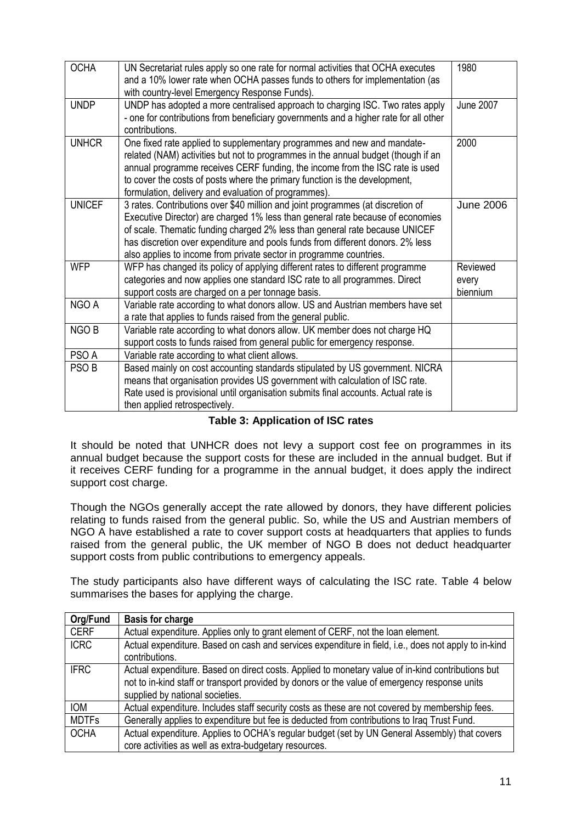| <b>OCHA</b>      | UN Secretariat rules apply so one rate for normal activities that OCHA executes<br>and a 10% lower rate when OCHA passes funds to others for implementation (as<br>with country-level Emergency Response Funds).                                                                                                                                                                                         | 1980                          |
|------------------|----------------------------------------------------------------------------------------------------------------------------------------------------------------------------------------------------------------------------------------------------------------------------------------------------------------------------------------------------------------------------------------------------------|-------------------------------|
| <b>UNDP</b>      | UNDP has adopted a more centralised approach to charging ISC. Two rates apply<br>- one for contributions from beneficiary governments and a higher rate for all other<br>contributions.                                                                                                                                                                                                                  | <b>June 2007</b>              |
| <b>UNHCR</b>     | One fixed rate applied to supplementary programmes and new and mandate-<br>related (NAM) activities but not to programmes in the annual budget (though if an<br>annual programme receives CERF funding, the income from the ISC rate is used<br>to cover the costs of posts where the primary function is the development,<br>formulation, delivery and evaluation of programmes).                       | 2000                          |
| <b>UNICEF</b>    | 3 rates. Contributions over \$40 million and joint programmes (at discretion of<br>Executive Director) are charged 1% less than general rate because of economies<br>of scale. Thematic funding charged 2% less than general rate because UNICEF<br>has discretion over expenditure and pools funds from different donors. 2% less<br>also applies to income from private sector in programme countries. | <b>June 2006</b>              |
| <b>WFP</b>       | WFP has changed its policy of applying different rates to different programme<br>categories and now applies one standard ISC rate to all programmes. Direct<br>support costs are charged on a per tonnage basis.                                                                                                                                                                                         | Reviewed<br>every<br>biennium |
| NGO A            | Variable rate according to what donors allow. US and Austrian members have set<br>a rate that applies to funds raised from the general public.                                                                                                                                                                                                                                                           |                               |
| NGO B            | Variable rate according to what donors allow. UK member does not charge HQ<br>support costs to funds raised from general public for emergency response.                                                                                                                                                                                                                                                  |                               |
| PSO A            | Variable rate according to what client allows.                                                                                                                                                                                                                                                                                                                                                           |                               |
| PSO <sub>B</sub> | Based mainly on cost accounting standards stipulated by US government. NICRA<br>means that organisation provides US government with calculation of ISC rate.<br>Rate used is provisional until organisation submits final accounts. Actual rate is<br>then applied retrospectively.                                                                                                                      |                               |

#### **Table 3: Application of ISC rates**

It should be noted that UNHCR does not levy a support cost fee on programmes in its annual budget because the support costs for these are included in the annual budget. But if it receives CERF funding for a programme in the annual budget, it does apply the indirect support cost charge.

Though the NGOs generally accept the rate allowed by donors, they have different policies relating to funds raised from the general public. So, while the US and Austrian members of NGO A have established a rate to cover support costs at headquarters that applies to funds raised from the general public, the UK member of NGO B does not deduct headquarter support costs from public contributions to emergency appeals.

The study participants also have different ways of calculating the ISC rate. Table 4 below summarises the bases for applying the charge.

| Org/Fund     | <b>Basis for charge</b>                                                                                                                                                                                                               |
|--------------|---------------------------------------------------------------------------------------------------------------------------------------------------------------------------------------------------------------------------------------|
| <b>CERF</b>  | Actual expenditure. Applies only to grant element of CERF, not the loan element.                                                                                                                                                      |
| <b>ICRC</b>  | Actual expenditure. Based on cash and services expenditure in field, i.e., does not apply to in-kind<br>contributions.                                                                                                                |
| <b>IFRC</b>  | Actual expenditure. Based on direct costs. Applied to monetary value of in-kind contributions but<br>not to in-kind staff or transport provided by donors or the value of emergency response units<br>supplied by national societies. |
| <b>IOM</b>   | Actual expenditure. Includes staff security costs as these are not covered by membership fees.                                                                                                                                        |
| <b>MDTFs</b> | Generally applies to expenditure but fee is deducted from contributions to Iraq Trust Fund.                                                                                                                                           |
| <b>OCHA</b>  | Actual expenditure. Applies to OCHA's regular budget (set by UN General Assembly) that covers<br>core activities as well as extra-budgetary resources.                                                                                |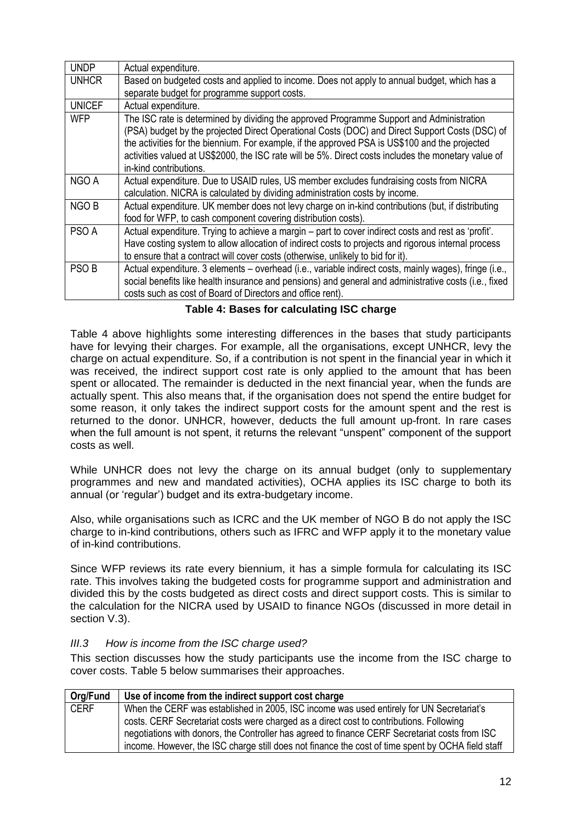| <b>UNDP</b>      | Actual expenditure.                                                                                                                                                                                                                                                                                                                                                                                                           |
|------------------|-------------------------------------------------------------------------------------------------------------------------------------------------------------------------------------------------------------------------------------------------------------------------------------------------------------------------------------------------------------------------------------------------------------------------------|
| <b>UNHCR</b>     | Based on budgeted costs and applied to income. Does not apply to annual budget, which has a                                                                                                                                                                                                                                                                                                                                   |
|                  | separate budget for programme support costs.                                                                                                                                                                                                                                                                                                                                                                                  |
| <b>UNICEF</b>    | Actual expenditure.                                                                                                                                                                                                                                                                                                                                                                                                           |
| <b>WFP</b>       | The ISC rate is determined by dividing the approved Programme Support and Administration<br>(PSA) budget by the projected Direct Operational Costs (DOC) and Direct Support Costs (DSC) of<br>the activities for the biennium. For example, if the approved PSA is US\$100 and the projected<br>activities valued at US\$2000, the ISC rate will be 5%. Direct costs includes the monetary value of<br>in-kind contributions. |
| NGO A            | Actual expenditure. Due to USAID rules, US member excludes fundraising costs from NICRA<br>calculation. NICRA is calculated by dividing administration costs by income.                                                                                                                                                                                                                                                       |
| NGO B            | Actual expenditure. UK member does not levy charge on in-kind contributions (but, if distributing<br>food for WFP, to cash component covering distribution costs).                                                                                                                                                                                                                                                            |
| PSO A            | Actual expenditure. Trying to achieve a margin – part to cover indirect costs and rest as 'profit'.<br>Have costing system to allow allocation of indirect costs to projects and rigorous internal process<br>to ensure that a contract will cover costs (otherwise, unlikely to bid for it).                                                                                                                                 |
| PSO <sub>B</sub> | Actual expenditure. 3 elements – overhead (i.e., variable indirect costs, mainly wages), fringe (i.e.,<br>social benefits like health insurance and pensions) and general and administrative costs (i.e., fixed<br>costs such as cost of Board of Directors and office rent).                                                                                                                                                 |

#### **Table 4: Bases for calculating ISC charge**

Table 4 above highlights some interesting differences in the bases that study participants have for levying their charges. For example, all the organisations, except UNHCR, levy the charge on actual expenditure. So, if a contribution is not spent in the financial year in which it was received, the indirect support cost rate is only applied to the amount that has been spent or allocated. The remainder is deducted in the next financial year, when the funds are actually spent. This also means that, if the organisation does not spend the entire budget for some reason, it only takes the indirect support costs for the amount spent and the rest is returned to the donor. UNHCR, however, deducts the full amount up-front. In rare cases when the full amount is not spent, it returns the relevant "unspent" component of the support costs as well.

While UNHCR does not levy the charge on its annual budget (only to supplementary programmes and new and mandated activities), OCHA applies its ISC charge to both its annual (or 'regular') budget and its extra-budgetary income.

Also, while organisations such as ICRC and the UK member of NGO B do not apply the ISC charge to in-kind contributions, others such as IFRC and WFP apply it to the monetary value of in-kind contributions.

Since WFP reviews its rate every biennium, it has a simple formula for calculating its ISC rate. This involves taking the budgeted costs for programme support and administration and divided this by the costs budgeted as direct costs and direct support costs. This is similar to the calculation for the NICRA used by USAID to finance NGOs (discussed in more detail in section V.3).

#### *III.3 How is income from the ISC charge used?*

This section discusses how the study participants use the income from the ISC charge to cover costs. Table 5 below summarises their approaches.

| Org/Fund    | Use of income from the indirect support cost charge                                               |
|-------------|---------------------------------------------------------------------------------------------------|
| <b>CERF</b> | When the CERF was established in 2005, ISC income was used entirely for UN Secretariat's          |
|             | costs. CERF Secretariat costs were charged as a direct cost to contributions. Following           |
|             | negotiations with donors, the Controller has agreed to finance CERF Secretariat costs from ISC    |
|             | income. However, the ISC charge still does not finance the cost of time spent by OCHA field staff |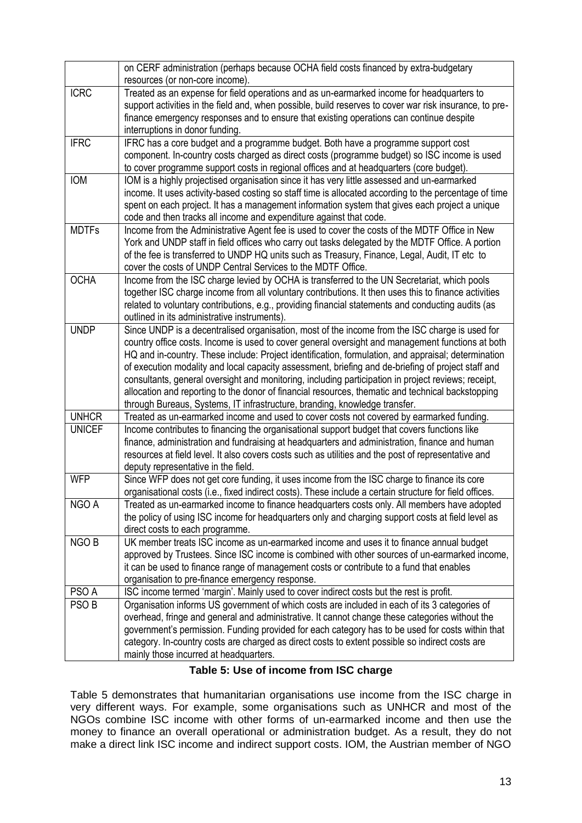| on CERF administration (perhaps because OCHA field costs financed by extra-budgetary                                                                                                                |
|-----------------------------------------------------------------------------------------------------------------------------------------------------------------------------------------------------|
|                                                                                                                                                                                                     |
| Treated as an expense for field operations and as un-earmarked income for headquarters to                                                                                                           |
| support activities in the field and, when possible, build reserves to cover war risk insurance, to pre-                                                                                             |
| finance emergency responses and to ensure that existing operations can continue despite                                                                                                             |
|                                                                                                                                                                                                     |
| IFRC has a core budget and a programme budget. Both have a programme support cost                                                                                                                   |
| component. In-country costs charged as direct costs (programme budget) so ISC income is used                                                                                                        |
| to cover programme support costs in regional offices and at headquarters (core budget).                                                                                                             |
| IOM is a highly projectised organisation since it has very little assessed and un-earmarked                                                                                                         |
| income. It uses activity-based costing so staff time is allocated according to the percentage of time                                                                                               |
| spent on each project. It has a management information system that gives each project a unique                                                                                                      |
|                                                                                                                                                                                                     |
| Income from the Administrative Agent fee is used to cover the costs of the MDTF Office in New                                                                                                       |
| York and UNDP staff in field offices who carry out tasks delegated by the MDTF Office. A portion                                                                                                    |
| of the fee is transferred to UNDP HQ units such as Treasury, Finance, Legal, Audit, IT etc to                                                                                                       |
|                                                                                                                                                                                                     |
| Income from the ISC charge levied by OCHA is transferred to the UN Secretariat, which pools<br>together ISC charge income from all voluntary contributions. It then uses this to finance activities |
|                                                                                                                                                                                                     |
| related to voluntary contributions, e.g., providing financial statements and conducting audits (as                                                                                                  |
| Since UNDP is a decentralised organisation, most of the income from the ISC charge is used for                                                                                                      |
| country office costs. Income is used to cover general oversight and management functions at both                                                                                                    |
| HQ and in-country. These include: Project identification, formulation, and appraisal; determination                                                                                                 |
| of execution modality and local capacity assessment, briefing and de-briefing of project staff and                                                                                                  |
| consultants, general oversight and monitoring, including participation in project reviews; receipt,                                                                                                 |
| allocation and reporting to the donor of financial resources, thematic and technical backstopping                                                                                                   |
|                                                                                                                                                                                                     |
| Treated as un-earmarked income and used to cover costs not covered by earmarked funding.                                                                                                            |
| Income contributes to financing the organisational support budget that covers functions like                                                                                                        |
| finance, administration and fundraising at headquarters and administration, finance and human                                                                                                       |
| resources at field level. It also covers costs such as utilities and the post of representative and                                                                                                 |
|                                                                                                                                                                                                     |
| Since WFP does not get core funding, it uses income from the ISC charge to finance its core                                                                                                         |
| organisational costs (i.e., fixed indirect costs). These include a certain structure for field offices.                                                                                             |
| Treated as un-earmarked income to finance headquarters costs only. All members have adopted                                                                                                         |
| the policy of using ISC income for headquarters only and charging support costs at field level as                                                                                                   |
|                                                                                                                                                                                                     |
| UK member treats ISC income as un-earmarked income and uses it to finance annual budget                                                                                                             |
| approved by Trustees. Since ISC income is combined with other sources of un-earmarked income,                                                                                                       |
| it can be used to finance range of management costs or contribute to a fund that enables                                                                                                            |
|                                                                                                                                                                                                     |
| ISC income termed 'margin'. Mainly used to cover indirect costs but the rest is profit.                                                                                                             |
| Organisation informs US government of which costs are included in each of its 3 categories of                                                                                                       |
| overhead, fringe and general and administrative. It cannot change these categories without the                                                                                                      |
| government's permission. Funding provided for each category has to be used for costs within that                                                                                                    |
| category. In-country costs are charged as direct costs to extent possible so indirect costs are                                                                                                     |
|                                                                                                                                                                                                     |
|                                                                                                                                                                                                     |

#### **Table 5: Use of income from ISC charge**

Table 5 demonstrates that humanitarian organisations use income from the ISC charge in very different ways. For example, some organisations such as UNHCR and most of the NGOs combine ISC income with other forms of un-earmarked income and then use the money to finance an overall operational or administration budget. As a result, they do not make a direct link ISC income and indirect support costs. IOM, the Austrian member of NGO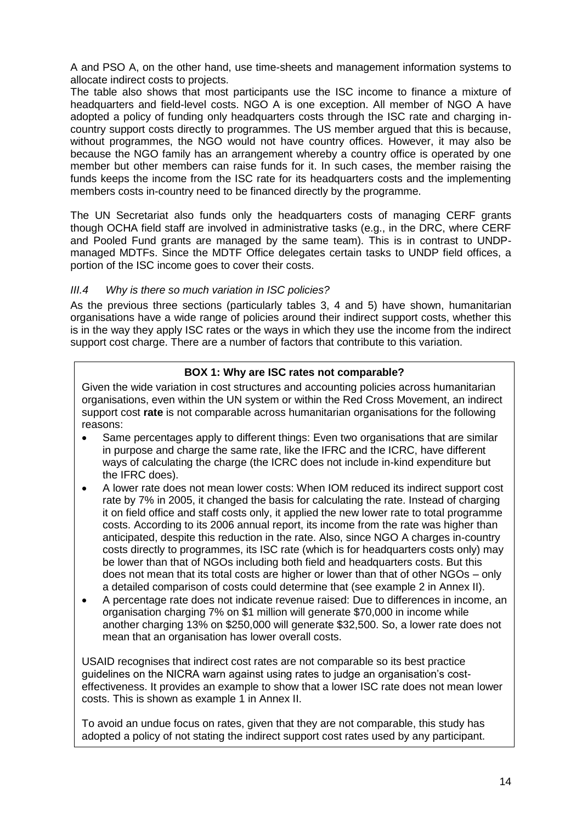A and PSO A, on the other hand, use time-sheets and management information systems to allocate indirect costs to projects.

The table also shows that most participants use the ISC income to finance a mixture of headquarters and field-level costs. NGO A is one exception. All member of NGO A have adopted a policy of funding only headquarters costs through the ISC rate and charging incountry support costs directly to programmes. The US member argued that this is because, without programmes, the NGO would not have country offices. However, it may also be because the NGO family has an arrangement whereby a country office is operated by one member but other members can raise funds for it. In such cases, the member raising the funds keeps the income from the ISC rate for its headquarters costs and the implementing members costs in-country need to be financed directly by the programme.

The UN Secretariat also funds only the headquarters costs of managing CERF grants though OCHA field staff are involved in administrative tasks (e.g., in the DRC, where CERF and Pooled Fund grants are managed by the same team). This is in contrast to UNDPmanaged MDTFs. Since the MDTF Office delegates certain tasks to UNDP field offices, a portion of the ISC income goes to cover their costs.

### *III.4 Why is there so much variation in ISC policies?*

As the previous three sections (particularly tables 3, 4 and 5) have shown, humanitarian organisations have a wide range of policies around their indirect support costs, whether this is in the way they apply ISC rates or the ways in which they use the income from the indirect support cost charge. There are a number of factors that contribute to this variation.

### **BOX 1: Why are ISC rates not comparable?**

Given the wide variation in cost structures and accounting policies across humanitarian organisations, even within the UN system or within the Red Cross Movement, an indirect support cost **rate** is not comparable across humanitarian organisations for the following reasons:

- Same percentages apply to different things: Even two organisations that are similar in purpose and charge the same rate, like the IFRC and the ICRC, have different ways of calculating the charge (the ICRC does not include in-kind expenditure but the IFRC does).
- A lower rate does not mean lower costs: When IOM reduced its indirect support cost rate by 7% in 2005, it changed the basis for calculating the rate. Instead of charging it on field office and staff costs only, it applied the new lower rate to total programme costs. According to its 2006 annual report, its income from the rate was higher than anticipated, despite this reduction in the rate. Also, since NGO A charges in-country costs directly to programmes, its ISC rate (which is for headquarters costs only) may be lower than that of NGOs including both field and headquarters costs. But this does not mean that its total costs are higher or lower than that of other NGOs – only a detailed comparison of costs could determine that (see example 2 in Annex II).
- A percentage rate does not indicate revenue raised: Due to differences in income, an organisation charging 7% on \$1 million will generate \$70,000 in income while another charging 13% on \$250,000 will generate \$32,500. So, a lower rate does not mean that an organisation has lower overall costs.

USAID recognises that indirect cost rates are not comparable so its best practice guidelines on the NICRA warn against using rates to judge an organisation's costeffectiveness. It provides an example to show that a lower ISC rate does not mean lower costs. This is shown as example 1 in Annex II.

To avoid an undue focus on rates, given that they are not comparable, this study has adopted a policy of not stating the indirect support cost rates used by any participant.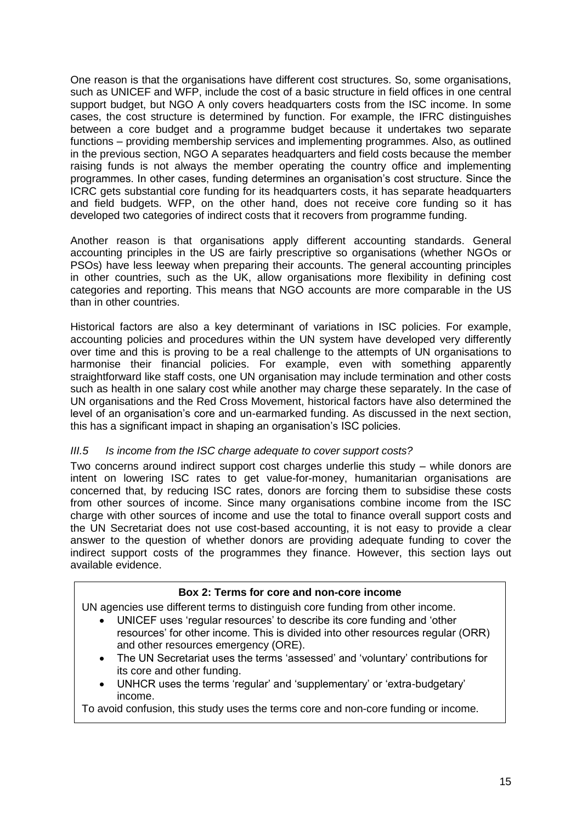One reason is that the organisations have different cost structures. So, some organisations, such as UNICEF and WFP, include the cost of a basic structure in field offices in one central support budget, but NGO A only covers headquarters costs from the ISC income. In some cases, the cost structure is determined by function. For example, the IFRC distinguishes between a core budget and a programme budget because it undertakes two separate functions – providing membership services and implementing programmes. Also, as outlined in the previous section, NGO A separates headquarters and field costs because the member raising funds is not always the member operating the country office and implementing programmes. In other cases, funding determines an organisation's cost structure. Since the ICRC gets substantial core funding for its headquarters costs, it has separate headquarters and field budgets. WFP, on the other hand, does not receive core funding so it has developed two categories of indirect costs that it recovers from programme funding.

Another reason is that organisations apply different accounting standards. General accounting principles in the US are fairly prescriptive so organisations (whether NGOs or PSOs) have less leeway when preparing their accounts. The general accounting principles in other countries, such as the UK, allow organisations more flexibility in defining cost categories and reporting. This means that NGO accounts are more comparable in the US than in other countries.

Historical factors are also a key determinant of variations in ISC policies. For example, accounting policies and procedures within the UN system have developed very differently over time and this is proving to be a real challenge to the attempts of UN organisations to harmonise their financial policies. For example, even with something apparently straightforward like staff costs, one UN organisation may include termination and other costs such as health in one salary cost while another may charge these separately. In the case of UN organisations and the Red Cross Movement, historical factors have also determined the level of an organisation's core and un-earmarked funding. As discussed in the next section, this has a significant impact in shaping an organisation's ISC policies.

#### *III.5 Is income from the ISC charge adequate to cover support costs?*

Two concerns around indirect support cost charges underlie this study – while donors are intent on lowering ISC rates to get value-for-money, humanitarian organisations are concerned that, by reducing ISC rates, donors are forcing them to subsidise these costs from other sources of income. Since many organisations combine income from the ISC charge with other sources of income and use the total to finance overall support costs and the UN Secretariat does not use cost-based accounting, it is not easy to provide a clear answer to the question of whether donors are providing adequate funding to cover the indirect support costs of the programmes they finance. However, this section lays out available evidence.

#### **Box 2: Terms for core and non-core income**

UN agencies use different terms to distinguish core funding from other income.

- UNICEF uses 'regular resources' to describe its core funding and 'other resources' for other income. This is divided into other resources regular (ORR) and other resources emergency (ORE).
- The UN Secretariat uses the terms 'assessed' and 'voluntary' contributions for its core and other funding.
- UNHCR uses the terms 'regular' and 'supplementary' or 'extra-budgetary' income.

To avoid confusion, this study uses the terms core and non-core funding or income.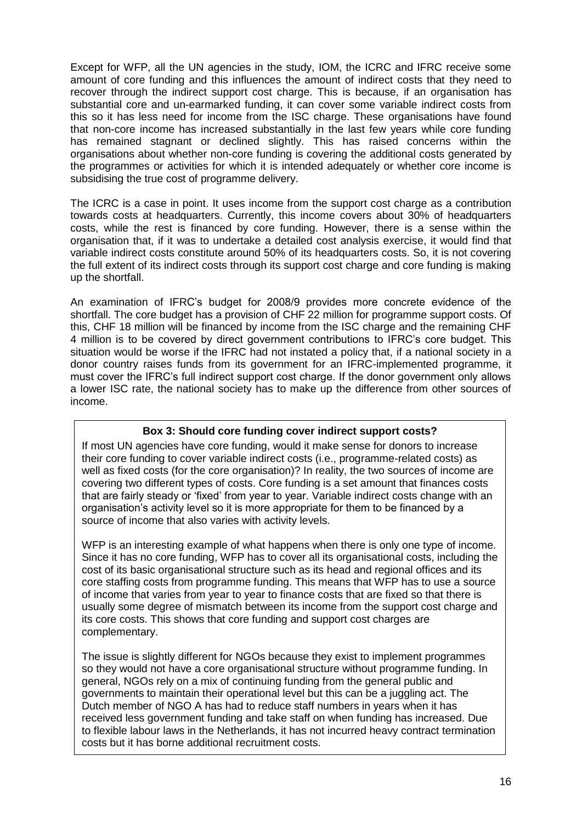Except for WFP, all the UN agencies in the study, IOM, the ICRC and IFRC receive some amount of core funding and this influences the amount of indirect costs that they need to recover through the indirect support cost charge. This is because, if an organisation has substantial core and un-earmarked funding, it can cover some variable indirect costs from this so it has less need for income from the ISC charge. These organisations have found that non-core income has increased substantially in the last few years while core funding has remained stagnant or declined slightly. This has raised concerns within the organisations about whether non-core funding is covering the additional costs generated by the programmes or activities for which it is intended adequately or whether core income is subsidising the true cost of programme delivery.

The ICRC is a case in point. It uses income from the support cost charge as a contribution towards costs at headquarters. Currently, this income covers about 30% of headquarters costs, while the rest is financed by core funding. However, there is a sense within the organisation that, if it was to undertake a detailed cost analysis exercise, it would find that variable indirect costs constitute around 50% of its headquarters costs. So, it is not covering the full extent of its indirect costs through its support cost charge and core funding is making up the shortfall.

An examination of IFRC's budget for 2008/9 provides more concrete evidence of the shortfall. The core budget has a provision of CHF 22 million for programme support costs. Of this, CHF 18 million will be financed by income from the ISC charge and the remaining CHF 4 million is to be covered by direct government contributions to IFRC's core budget. This situation would be worse if the IFRC had not instated a policy that, if a national society in a donor country raises funds from its government for an IFRC-implemented programme, it must cover the IFRC's full indirect support cost charge. If the donor government only allows a lower ISC rate, the national society has to make up the difference from other sources of income.

## **Box 3: Should core funding cover indirect support costs?**

If most UN agencies have core funding, would it make sense for donors to increase their core funding to cover variable indirect costs (i.e., programme-related costs) as well as fixed costs (for the core organisation)? In reality, the two sources of income are covering two different types of costs. Core funding is a set amount that finances costs that are fairly steady or 'fixed' from year to year. Variable indirect costs change with an organisation's activity level so it is more appropriate for them to be financed by a source of income that also varies with activity levels.

WFP is an interesting example of what happens when there is only one type of income. Since it has no core funding, WFP has to cover all its organisational costs, including the cost of its basic organisational structure such as its head and regional offices and its core staffing costs from programme funding. This means that WFP has to use a source of income that varies from year to year to finance costs that are fixed so that there is usually some degree of mismatch between its income from the support cost charge and its core costs. This shows that core funding and support cost charges are complementary.

The issue is slightly different for NGOs because they exist to implement programmes so they would not have a core organisational structure without programme funding. In general, NGOs rely on a mix of continuing funding from the general public and governments to maintain their operational level but this can be a juggling act. The Dutch member of NGO A has had to reduce staff numbers in years when it has received less government funding and take staff on when funding has increased. Due to flexible labour laws in the Netherlands, it has not incurred heavy contract termination costs but it has borne additional recruitment costs.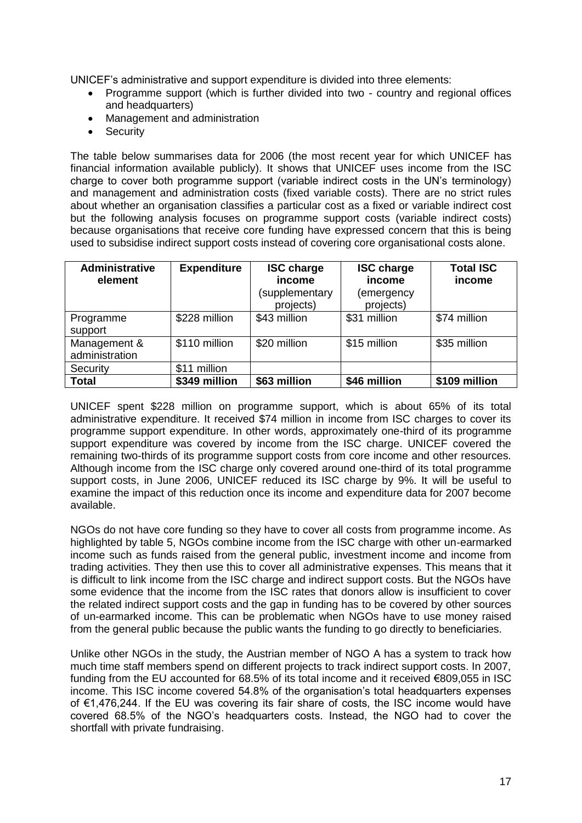UNICEF's administrative and support expenditure is divided into three elements:

- Programme support (which is further divided into two country and regional offices and headquarters)
- Management and administration
- Security

The table below summarises data for 2006 (the most recent year for which UNICEF has financial information available publicly). It shows that UNICEF uses income from the ISC charge to cover both programme support (variable indirect costs in the UN's terminology) and management and administration costs (fixed variable costs). There are no strict rules about whether an organisation classifies a particular cost as a fixed or variable indirect cost but the following analysis focuses on programme support costs (variable indirect costs) because organisations that receive core funding have expressed concern that this is being used to subsidise indirect support costs instead of covering core organisational costs alone.

| <b>Administrative</b><br>element | <b>Expenditure</b> | <b>ISC charge</b><br>income<br>(supplementary<br>projects) | <b>ISC charge</b><br>income<br>(emergency<br>projects) | <b>Total ISC</b><br>income |
|----------------------------------|--------------------|------------------------------------------------------------|--------------------------------------------------------|----------------------------|
| Programme<br>support             | \$228 million      | \$43 million                                               | \$31 million                                           | \$74 million               |
| Management &<br>administration   | \$110 million      | \$20 million                                               | \$15 million                                           | \$35 million               |
| Security                         | \$11 million       |                                                            |                                                        |                            |
| <b>Total</b>                     | \$349 million      | \$63 million                                               | \$46 million                                           | \$109 million              |

UNICEF spent \$228 million on programme support, which is about 65% of its total administrative expenditure. It received \$74 million in income from ISC charges to cover its programme support expenditure. In other words, approximately one-third of its programme support expenditure was covered by income from the ISC charge. UNICEF covered the remaining two-thirds of its programme support costs from core income and other resources. Although income from the ISC charge only covered around one-third of its total programme support costs, in June 2006, UNICEF reduced its ISC charge by 9%. It will be useful to examine the impact of this reduction once its income and expenditure data for 2007 become available.

NGOs do not have core funding so they have to cover all costs from programme income. As highlighted by table 5, NGOs combine income from the ISC charge with other un-earmarked income such as funds raised from the general public, investment income and income from trading activities. They then use this to cover all administrative expenses. This means that it is difficult to link income from the ISC charge and indirect support costs. But the NGOs have some evidence that the income from the ISC rates that donors allow is insufficient to cover the related indirect support costs and the gap in funding has to be covered by other sources of un-earmarked income. This can be problematic when NGOs have to use money raised from the general public because the public wants the funding to go directly to beneficiaries.

Unlike other NGOs in the study, the Austrian member of NGO A has a system to track how much time staff members spend on different projects to track indirect support costs. In 2007, funding from the EU accounted for 68.5% of its total income and it received €809,055 in ISC income. This ISC income covered 54.8% of the organisation's total headquarters expenses of €1,476,244. If the EU was covering its fair share of costs, the ISC income would have covered 68.5% of the NGO's headquarters costs. Instead, the NGO had to cover the shortfall with private fundraising.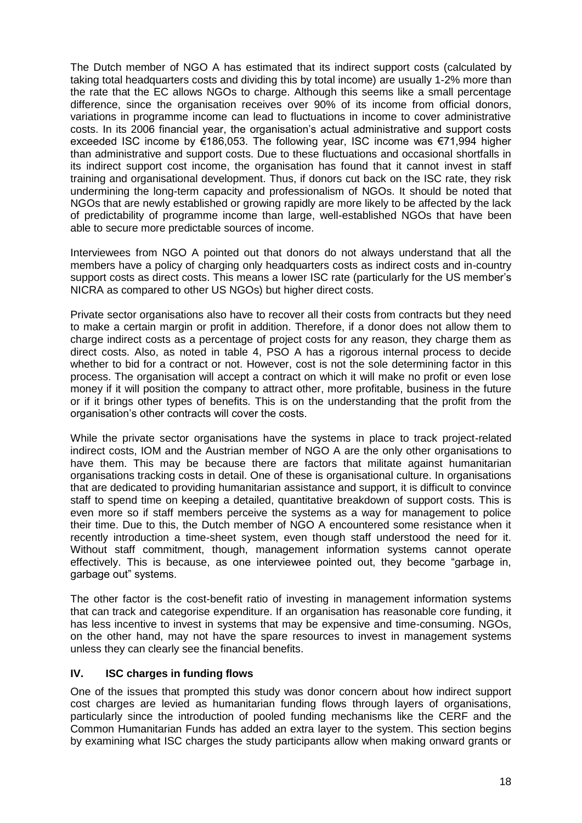The Dutch member of NGO A has estimated that its indirect support costs (calculated by taking total headquarters costs and dividing this by total income) are usually 1-2% more than the rate that the EC allows NGOs to charge. Although this seems like a small percentage difference, since the organisation receives over 90% of its income from official donors, variations in programme income can lead to fluctuations in income to cover administrative costs. In its 2006 financial year, the organisation's actual administrative and support costs exceeded ISC income by €186,053. The following year, ISC income was €71,994 higher than administrative and support costs. Due to these fluctuations and occasional shortfalls in its indirect support cost income, the organisation has found that it cannot invest in staff training and organisational development. Thus, if donors cut back on the ISC rate, they risk undermining the long-term capacity and professionalism of NGOs. It should be noted that NGOs that are newly established or growing rapidly are more likely to be affected by the lack of predictability of programme income than large, well-established NGOs that have been able to secure more predictable sources of income.

Interviewees from NGO A pointed out that donors do not always understand that all the members have a policy of charging only headquarters costs as indirect costs and in-country support costs as direct costs. This means a lower ISC rate (particularly for the US member's NICRA as compared to other US NGOs) but higher direct costs.

Private sector organisations also have to recover all their costs from contracts but they need to make a certain margin or profit in addition. Therefore, if a donor does not allow them to charge indirect costs as a percentage of project costs for any reason, they charge them as direct costs. Also, as noted in table 4, PSO A has a rigorous internal process to decide whether to bid for a contract or not. However, cost is not the sole determining factor in this process. The organisation will accept a contract on which it will make no profit or even lose money if it will position the company to attract other, more profitable, business in the future or if it brings other types of benefits. This is on the understanding that the profit from the organisation's other contracts will cover the costs.

While the private sector organisations have the systems in place to track project-related indirect costs, IOM and the Austrian member of NGO A are the only other organisations to have them. This may be because there are factors that militate against humanitarian organisations tracking costs in detail. One of these is organisational culture. In organisations that are dedicated to providing humanitarian assistance and support, it is difficult to convince staff to spend time on keeping a detailed, quantitative breakdown of support costs. This is even more so if staff members perceive the systems as a way for management to police their time. Due to this, the Dutch member of NGO A encountered some resistance when it recently introduction a time-sheet system, even though staff understood the need for it. Without staff commitment, though, management information systems cannot operate effectively. This is because, as one interviewee pointed out, they become "garbage in, garbage out" systems.

The other factor is the cost-benefit ratio of investing in management information systems that can track and categorise expenditure. If an organisation has reasonable core funding, it has less incentive to invest in systems that may be expensive and time-consuming. NGOs, on the other hand, may not have the spare resources to invest in management systems unless they can clearly see the financial benefits.

#### **IV. ISC charges in funding flows**

One of the issues that prompted this study was donor concern about how indirect support cost charges are levied as humanitarian funding flows through layers of organisations, particularly since the introduction of pooled funding mechanisms like the CERF and the Common Humanitarian Funds has added an extra layer to the system. This section begins by examining what ISC charges the study participants allow when making onward grants or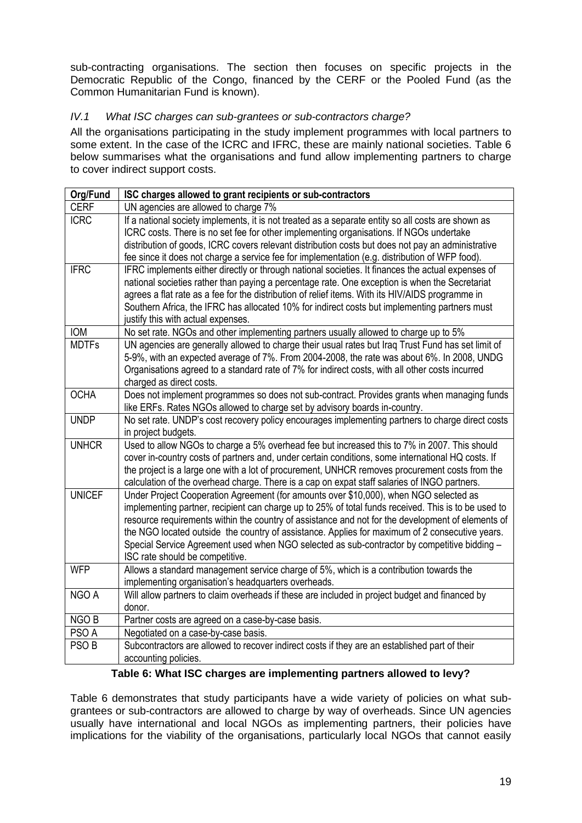sub-contracting organisations. The section then focuses on specific projects in the Democratic Republic of the Congo, financed by the CERF or the Pooled Fund (as the Common Humanitarian Fund is known).

## *IV.1 What ISC charges can sub-grantees or sub-contractors charge?*

All the organisations participating in the study implement programmes with local partners to some extent. In the case of the ICRC and IFRC, these are mainly national societies. Table 6 below summarises what the organisations and fund allow implementing partners to charge to cover indirect support costs.

| Org/Fund         | ISC charges allowed to grant recipients or sub-contractors                                                              |
|------------------|-------------------------------------------------------------------------------------------------------------------------|
| <b>CERF</b>      | UN agencies are allowed to charge 7%                                                                                    |
| <b>ICRC</b>      | If a national society implements, it is not treated as a separate entity so all costs are shown as                      |
|                  | ICRC costs. There is no set fee for other implementing organisations. If NGOs undertake                                 |
|                  | distribution of goods, ICRC covers relevant distribution costs but does not pay an administrative                       |
|                  | fee since it does not charge a service fee for implementation (e.g. distribution of WFP food).                          |
| <b>IFRC</b>      | IFRC implements either directly or through national societies. It finances the actual expenses of                       |
|                  | national societies rather than paying a percentage rate. One exception is when the Secretariat                          |
|                  | agrees a flat rate as a fee for the distribution of relief items. With its HIV/AIDS programme in                        |
|                  | Southern Africa, the IFRC has allocated 10% for indirect costs but implementing partners must                           |
|                  | justify this with actual expenses.                                                                                      |
| <b>IOM</b>       | No set rate. NGOs and other implementing partners usually allowed to charge up to 5%                                    |
| <b>MDTFs</b>     | UN agencies are generally allowed to charge their usual rates but Iraq Trust Fund has set limit of                      |
|                  | 5-9%, with an expected average of 7%. From 2004-2008, the rate was about 6%. In 2008, UNDG                              |
|                  | Organisations agreed to a standard rate of 7% for indirect costs, with all other costs incurred                         |
| <b>OCHA</b>      | charged as direct costs.<br>Does not implement programmes so does not sub-contract. Provides grants when managing funds |
|                  | like ERFs. Rates NGOs allowed to charge set by advisory boards in-country.                                              |
| <b>UNDP</b>      | No set rate. UNDP's cost recovery policy encourages implementing partners to charge direct costs                        |
|                  | in project budgets.                                                                                                     |
| <b>UNHCR</b>     | Used to allow NGOs to charge a 5% overhead fee but increased this to 7% in 2007. This should                            |
|                  | cover in-country costs of partners and, under certain conditions, some international HQ costs. If                       |
|                  | the project is a large one with a lot of procurement, UNHCR removes procurement costs from the                          |
|                  | calculation of the overhead charge. There is a cap on expat staff salaries of INGO partners.                            |
| <b>UNICEF</b>    | Under Project Cooperation Agreement (for amounts over \$10,000), when NGO selected as                                   |
|                  | implementing partner, recipient can charge up to 25% of total funds received. This is to be used to                     |
|                  | resource requirements within the country of assistance and not for the development of elements of                       |
|                  | the NGO located outside the country of assistance. Applies for maximum of 2 consecutive years.                          |
|                  | Special Service Agreement used when NGO selected as sub-contractor by competitive bidding -                             |
|                  | ISC rate should be competitive.                                                                                         |
| <b>WFP</b>       | Allows a standard management service charge of 5%, which is a contribution towards the                                  |
|                  | implementing organisation's headquarters overheads.                                                                     |
| NGO A            | Will allow partners to claim overheads if these are included in project budget and financed by                          |
|                  | donor.                                                                                                                  |
| NGO B            | Partner costs are agreed on a case-by-case basis.                                                                       |
| PSO A            | Negotiated on a case-by-case basis.                                                                                     |
| PSO <sub>B</sub> | Subcontractors are allowed to recover indirect costs if they are an established part of their                           |
|                  | accounting policies.                                                                                                    |

## **Table 6: What ISC charges are implementing partners allowed to levy?**

Table 6 demonstrates that study participants have a wide variety of policies on what subgrantees or sub-contractors are allowed to charge by way of overheads. Since UN agencies usually have international and local NGOs as implementing partners, their policies have implications for the viability of the organisations, particularly local NGOs that cannot easily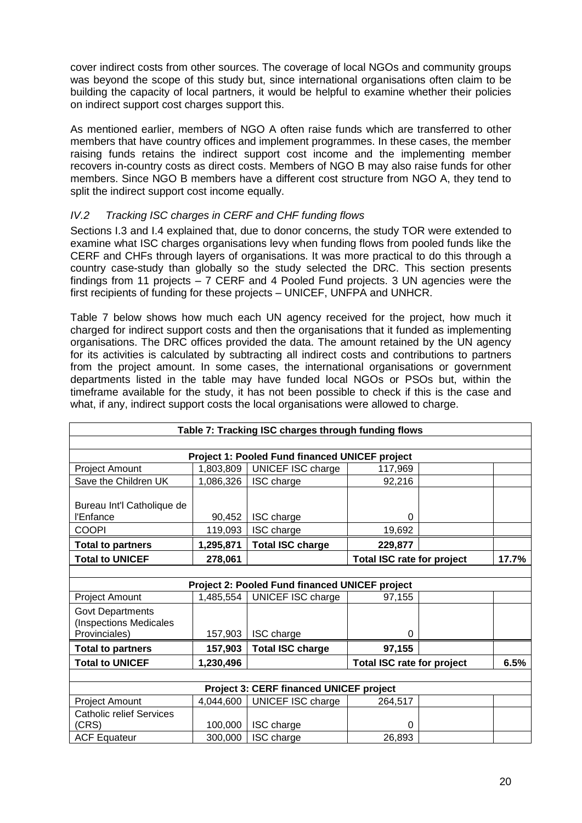cover indirect costs from other sources. The coverage of local NGOs and community groups was beyond the scope of this study but, since international organisations often claim to be building the capacity of local partners, it would be helpful to examine whether their policies on indirect support cost charges support this.

As mentioned earlier, members of NGO A often raise funds which are transferred to other members that have country offices and implement programmes. In these cases, the member raising funds retains the indirect support cost income and the implementing member recovers in-country costs as direct costs. Members of NGO B may also raise funds for other members. Since NGO B members have a different cost structure from NGO A, they tend to split the indirect support cost income equally.

## *IV.2 Tracking ISC charges in CERF and CHF funding flows*

Sections I.3 and I.4 explained that, due to donor concerns, the study TOR were extended to examine what ISC charges organisations levy when funding flows from pooled funds like the CERF and CHFs through layers of organisations. It was more practical to do this through a country case-study than globally so the study selected the DRC. This section presents findings from 11 projects – 7 CERF and 4 Pooled Fund projects. 3 UN agencies were the first recipients of funding for these projects – UNICEF, UNFPA and UNHCR.

Table 7 below shows how much each UN agency received for the project, how much it charged for indirect support costs and then the organisations that it funded as implementing organisations. The DRC offices provided the data. The amount retained by the UN agency for its activities is calculated by subtracting all indirect costs and contributions to partners from the project amount. In some cases, the international organisations or government departments listed in the table may have funded local NGOs or PSOs but, within the timeframe available for the study, it has not been possible to check if this is the case and what, if any, indirect support costs the local organisations were allowed to charge.

| Table 7: Tracking ISC charges through funding flows                |                   |                                                       |                                   |  |       |  |  |
|--------------------------------------------------------------------|-------------------|-------------------------------------------------------|-----------------------------------|--|-------|--|--|
|                                                                    |                   |                                                       |                                   |  |       |  |  |
|                                                                    |                   | <b>Project 1: Pooled Fund financed UNICEF project</b> |                                   |  |       |  |  |
| Project Amount                                                     | 1,803,809         | UNICEF ISC charge                                     | 117,969                           |  |       |  |  |
| Save the Children UK                                               | 1,086,326         | ISC charge                                            | 92,216                            |  |       |  |  |
| Bureau Int'l Catholique de<br>l'Enfance<br><b>COOPI</b>            | 90,452<br>119,093 | ISC charge<br>ISC charge                              | 0<br>19,692                       |  |       |  |  |
| <b>Total to partners</b>                                           | 1,295,871         | <b>Total ISC charge</b>                               | 229,877                           |  |       |  |  |
| <b>Total to UNICEF</b>                                             | 278,061           |                                                       | <b>Total ISC rate for project</b> |  | 17.7% |  |  |
|                                                                    |                   |                                                       |                                   |  |       |  |  |
|                                                                    |                   | Project 2: Pooled Fund financed UNICEF project        |                                   |  |       |  |  |
| Project Amount                                                     | 1,485,554         | UNICEF ISC charge                                     | 97,155                            |  |       |  |  |
| <b>Govt Departments</b><br>(Inspections Medicales<br>Provinciales) | 157,903           | ISC charge                                            | 0                                 |  |       |  |  |
| <b>Total to partners</b>                                           | 157,903           | <b>Total ISC charge</b>                               | 97,155                            |  |       |  |  |
| <b>Total to UNICEF</b>                                             | 1,230,496         |                                                       | <b>Total ISC rate for project</b> |  | 6.5%  |  |  |
|                                                                    |                   |                                                       |                                   |  |       |  |  |
| <b>Project 3: CERF financed UNICEF project</b>                     |                   |                                                       |                                   |  |       |  |  |
| Project Amount                                                     | 4,044,600         | UNICEF ISC charge                                     | 264,517                           |  |       |  |  |
| <b>Catholic relief Services</b><br>(CRS)                           | 100,000           | ISC charge                                            | 0                                 |  |       |  |  |
| <b>ACF Equateur</b>                                                | 300,000           | ISC charge                                            | 26,893                            |  |       |  |  |
|                                                                    |                   |                                                       |                                   |  |       |  |  |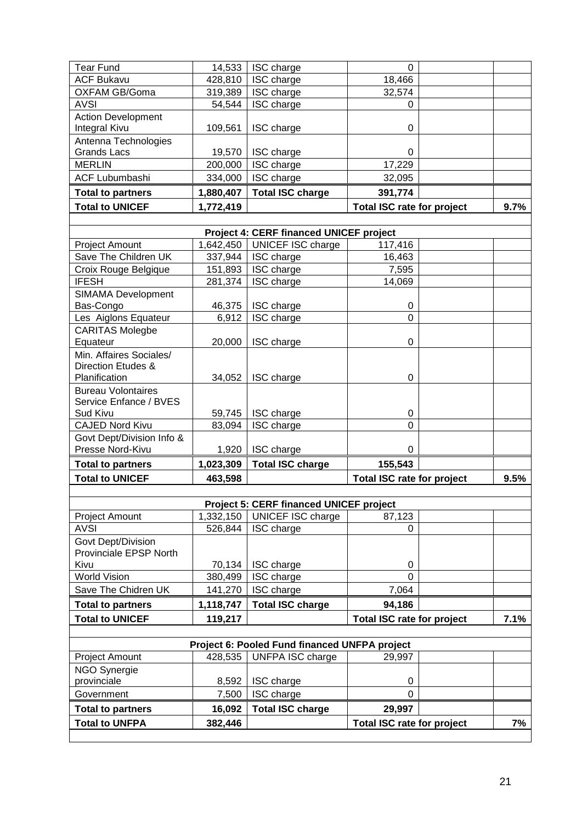| <b>Tear Fund</b>                                    | 14,533            | ISC charge                                     | $\Omega$                          |      |
|-----------------------------------------------------|-------------------|------------------------------------------------|-----------------------------------|------|
| <b>ACF Bukavu</b>                                   | 428,810           | ISC charge                                     | 18,466                            |      |
| OXFAM GB/Goma                                       | 319,389           | ISC charge                                     | 32,574                            |      |
| <b>AVSI</b>                                         | 54,544            | ISC charge                                     | 0                                 |      |
| <b>Action Development</b>                           |                   |                                                |                                   |      |
| <b>Integral Kivu</b>                                | 109,561           | ISC charge                                     | 0                                 |      |
| Antenna Technologies                                |                   |                                                |                                   |      |
| <b>Grands Lacs</b><br><b>MERLIN</b>                 | 19,570<br>200,000 | ISC charge<br>ISC charge                       | 0<br>17,229                       |      |
| <b>ACF Lubumbashi</b>                               | 334,000           | ISC charge                                     | 32,095                            |      |
| <b>Total to partners</b>                            | 1,880,407         | <b>Total ISC charge</b>                        | 391,774                           |      |
| <b>Total to UNICEF</b>                              |                   |                                                |                                   | 9.7% |
|                                                     | 1,772,419         |                                                | <b>Total ISC rate for project</b> |      |
|                                                     |                   | <b>Project 4: CERF financed UNICEF project</b> |                                   |      |
| Project Amount                                      | 1,642,450         | UNICEF ISC charge                              | 117,416                           |      |
| Save The Children UK                                | 337,944           | ISC charge                                     | 16,463                            |      |
| Croix Rouge Belgique                                | 151,893           | ISC charge                                     | 7,595                             |      |
| <b>IFESH</b>                                        | 281,374           | ISC charge                                     | 14,069                            |      |
| <b>SIMAMA Development</b>                           |                   |                                                |                                   |      |
| Bas-Congo                                           | 46,375            | ISC charge                                     | 0                                 |      |
| Les Aiglons Equateur                                | 6,912             | ISC charge                                     | $\overline{0}$                    |      |
| <b>CARITAS Molegbe</b>                              |                   |                                                |                                   |      |
| Equateur                                            | 20,000            | ISC charge                                     | 0                                 |      |
| Min. Affaires Sociales/                             |                   |                                                |                                   |      |
| Direction Etudes &<br>Planification                 | 34,052            | ISC charge                                     | 0                                 |      |
| <b>Bureau Volontaires</b>                           |                   |                                                |                                   |      |
| Service Enfance / BVES                              |                   |                                                |                                   |      |
| Sud Kivu                                            | 59,745            | ISC charge                                     | 0                                 |      |
| <b>CAJED Nord Kivu</b>                              | 83,094            | ISC charge                                     | $\Omega$                          |      |
| Govt Dept/Division Info &                           |                   |                                                |                                   |      |
| Presse Nord-Kivu                                    | 1,920             | ISC charge                                     | 0                                 |      |
| <b>Total to partners</b>                            | 1,023,309         | <b>Total ISC charge</b>                        | 155,543                           |      |
| <b>Total to UNICEF</b>                              | 463,598           |                                                | <b>Total ISC rate for project</b> | 9.5% |
|                                                     |                   |                                                |                                   |      |
|                                                     |                   | <b>Project 5: CERF financed UNICEF project</b> |                                   |      |
| <b>Project Amount</b>                               | 1,332,150         | UNICEF ISC charge                              | 87,123                            |      |
| <b>AVSI</b>                                         | 526,844           | ISC charge                                     | $\mathbf 0$                       |      |
| Govt Dept/Division<br><b>Provinciale EPSP North</b> |                   |                                                |                                   |      |
| Kivu                                                | 70,134            | ISC charge                                     | 0                                 |      |
| <b>World Vision</b>                                 | 380,499           | ISC charge                                     | $\Omega$                          |      |
| Save The Chidren UK                                 | 141,270           | ISC charge                                     | 7,064                             |      |
| <b>Total to partners</b>                            | 1,118,747         | <b>Total ISC charge</b>                        | 94,186                            |      |
| <b>Total to UNICEF</b>                              | 119,217           |                                                | <b>Total ISC rate for project</b> | 7.1% |
|                                                     |                   |                                                |                                   |      |
|                                                     |                   | Project 6: Pooled Fund financed UNFPA project  |                                   |      |
| Project Amount                                      | 428,535           | UNFPA ISC charge                               | 29,997                            |      |
| NGO Synergie                                        |                   |                                                |                                   |      |
| provinciale                                         | 8,592             | ISC charge                                     | 0                                 |      |
| Government                                          | 7,500             | ISC charge                                     | $\mathbf 0$                       |      |
| <b>Total to partners</b>                            | 16,092            | <b>Total ISC charge</b>                        | 29,997                            |      |
| <b>Total to UNFPA</b>                               | 382,446           |                                                | <b>Total ISC rate for project</b> | 7%   |
|                                                     |                   |                                                |                                   |      |

a k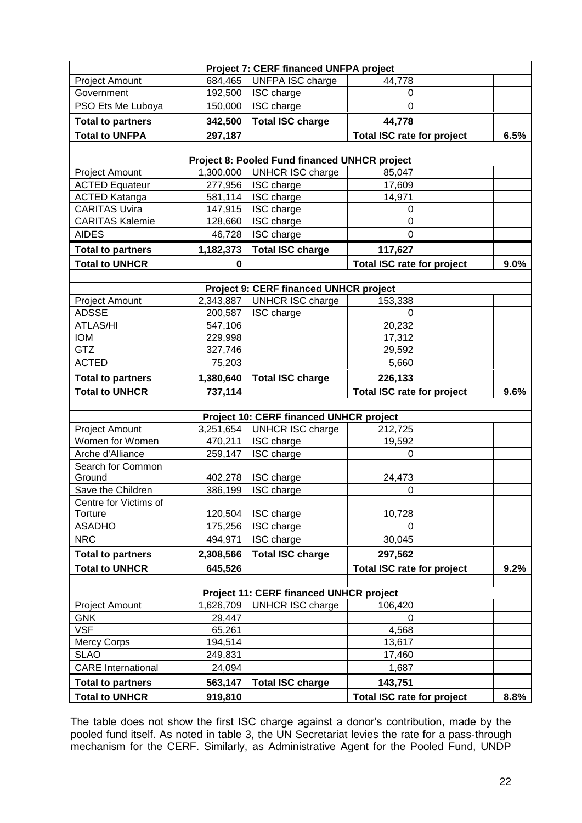|                                                   |                    | Project 7: CERF financed UNFPA project               |                                              |  |         |  |
|---------------------------------------------------|--------------------|------------------------------------------------------|----------------------------------------------|--|---------|--|
| <b>Project Amount</b>                             | 684,465            | UNFPA ISC charge                                     | 44,778                                       |  |         |  |
| Government                                        | 192,500            | ISC charge                                           | 0                                            |  |         |  |
| PSO Ets Me Luboya                                 | 150,000            | ISC charge                                           | $\overline{0}$                               |  |         |  |
| <b>Total to partners</b>                          | 342,500            | <b>Total ISC charge</b>                              | 44,778                                       |  |         |  |
| <b>Total to UNFPA</b>                             | 297,187            |                                                      | <b>Total ISC rate for project</b>            |  | 6.5%    |  |
|                                                   |                    |                                                      |                                              |  |         |  |
|                                                   |                    | <b>Project 8: Pooled Fund financed UNHCR project</b> |                                              |  |         |  |
| <b>Project Amount</b>                             | 1,300,000          | <b>UNHCR ISC charge</b>                              | 85,047                                       |  |         |  |
| <b>ACTED Equateur</b>                             | 277,956            | ISC charge                                           | 17,609                                       |  |         |  |
| <b>ACTED Katanga</b>                              | 581,114            | ISC charge                                           | 14,971                                       |  |         |  |
| <b>CARITAS Uvira</b>                              | 147,915            | ISC charge                                           | 0                                            |  |         |  |
| <b>CARITAS Kalemie</b>                            | 128,660            | ISC charge                                           | $\mathbf 0$                                  |  |         |  |
| <b>AIDES</b>                                      | 46,728             | ISC charge                                           | $\overline{0}$                               |  |         |  |
| <b>Total to partners</b>                          | 1,182,373          | <b>Total ISC charge</b>                              | 117,627                                      |  |         |  |
| <b>Total to UNHCR</b>                             | 0                  |                                                      | <b>Total ISC rate for project</b>            |  | $9.0\%$ |  |
|                                                   |                    |                                                      |                                              |  |         |  |
|                                                   |                    | <b>Project 9: CERF financed UNHCR project</b>        |                                              |  |         |  |
| <b>Project Amount</b>                             | 2,343,887          | <b>UNHCR ISC charge</b>                              | 153,338                                      |  |         |  |
| <b>ADSSE</b>                                      | 200,587            | ISC charge                                           | $\Omega$                                     |  |         |  |
| <b>ATLAS/HI</b>                                   | 547,106            |                                                      | 20,232                                       |  |         |  |
| <b>IOM</b>                                        | 229,998            |                                                      | 17,312                                       |  |         |  |
| <b>GTZ</b>                                        | 327,746            |                                                      | 29,592                                       |  |         |  |
| <b>ACTED</b>                                      | 75,203             |                                                      | 5,660                                        |  |         |  |
| <b>Total to partners</b>                          | 1,380,640          | <b>Total ISC charge</b>                              | 226,133                                      |  |         |  |
| <b>Total to UNHCR</b>                             | 737,114            |                                                      | <b>Total ISC rate for project</b>            |  | 9.6%    |  |
|                                                   |                    | Project 10: CERF financed UNHCR project              |                                              |  |         |  |
| <b>Project Amount</b>                             | 3,251,654          | <b>UNHCR ISC charge</b>                              | 212,725                                      |  |         |  |
|                                                   |                    |                                                      |                                              |  |         |  |
|                                                   |                    |                                                      |                                              |  |         |  |
| Women for Women                                   | 470,211            | ISC charge                                           | 19,592                                       |  |         |  |
| Arche d'Alliance                                  | 259,147            | ISC charge                                           | 0                                            |  |         |  |
| Search for Common                                 |                    |                                                      |                                              |  |         |  |
| Ground                                            | 402,278            | ISC charge                                           | 24,473                                       |  |         |  |
| Save the Children                                 | 386,199            | ISC charge                                           | 0                                            |  |         |  |
| Centre for Victims of<br>Torture                  | 120,504            | ISC charge                                           | 10,728                                       |  |         |  |
| <b>ASADHO</b>                                     | 175,256            | ISC charge                                           | $\Omega$                                     |  |         |  |
| <b>NRC</b>                                        | 494,971            | ISC charge                                           | 30,045                                       |  |         |  |
| <b>Total to partners</b>                          | 2,308,566          | <b>Total ISC charge</b>                              | 297,562                                      |  |         |  |
| <b>Total to UNHCR</b>                             | 645,526            |                                                      | <b>Total ISC rate for project</b>            |  | 9.2%    |  |
|                                                   |                    |                                                      |                                              |  |         |  |
|                                                   |                    | <b>Project 11: CERF financed UNHCR project</b>       |                                              |  |         |  |
| Project Amount                                    | 1,626,709          | <b>UNHCR ISC charge</b>                              | 106,420                                      |  |         |  |
| <b>GNK</b>                                        | 29,447             |                                                      | 0                                            |  |         |  |
| <b>VSF</b>                                        | 65,261             |                                                      | 4,568                                        |  |         |  |
| Mercy Corps                                       | 194,514            |                                                      | 13,617                                       |  |         |  |
| <b>SLAO</b>                                       | 249,831            |                                                      | 17,460                                       |  |         |  |
| <b>CARE</b> International                         | 24,094             |                                                      | 1,687                                        |  |         |  |
| <b>Total to partners</b><br><b>Total to UNHCR</b> | 563,147<br>919,810 | <b>Total ISC charge</b>                              | 143,751<br><b>Total ISC rate for project</b> |  |         |  |

The table does not show the first ISC charge against a donor's contribution, made by the pooled fund itself. As noted in table 3, the UN Secretariat levies the rate for a pass-through mechanism for the CERF. Similarly, as Administrative Agent for the Pooled Fund, UNDP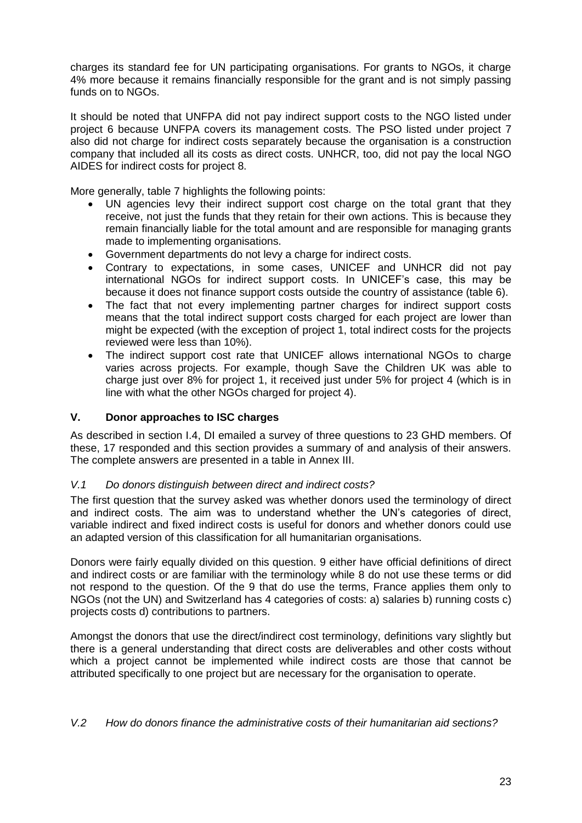charges its standard fee for UN participating organisations. For grants to NGOs, it charge 4% more because it remains financially responsible for the grant and is not simply passing funds on to NGOs.

It should be noted that UNFPA did not pay indirect support costs to the NGO listed under project 6 because UNFPA covers its management costs. The PSO listed under project 7 also did not charge for indirect costs separately because the organisation is a construction company that included all its costs as direct costs. UNHCR, too, did not pay the local NGO AIDES for indirect costs for project 8.

More generally, table 7 highlights the following points:

- UN agencies levy their indirect support cost charge on the total grant that they receive, not just the funds that they retain for their own actions. This is because they remain financially liable for the total amount and are responsible for managing grants made to implementing organisations.
- Government departments do not levy a charge for indirect costs.
- Contrary to expectations, in some cases, UNICEF and UNHCR did not pay international NGOs for indirect support costs. In UNICEF's case, this may be because it does not finance support costs outside the country of assistance (table 6).
- The fact that not every implementing partner charges for indirect support costs means that the total indirect support costs charged for each project are lower than might be expected (with the exception of project 1, total indirect costs for the projects reviewed were less than 10%).
- The indirect support cost rate that UNICEF allows international NGOs to charge varies across projects. For example, though Save the Children UK was able to charge just over 8% for project 1, it received just under 5% for project 4 (which is in line with what the other NGOs charged for project 4).

### **V. Donor approaches to ISC charges**

As described in section I.4, DI emailed a survey of three questions to 23 GHD members. Of these, 17 responded and this section provides a summary of and analysis of their answers. The complete answers are presented in a table in Annex III.

#### *V.1 Do donors distinguish between direct and indirect costs?*

The first question that the survey asked was whether donors used the terminology of direct and indirect costs. The aim was to understand whether the UN's categories of direct, variable indirect and fixed indirect costs is useful for donors and whether donors could use an adapted version of this classification for all humanitarian organisations.

Donors were fairly equally divided on this question. 9 either have official definitions of direct and indirect costs or are familiar with the terminology while 8 do not use these terms or did not respond to the question. Of the 9 that do use the terms, France applies them only to NGOs (not the UN) and Switzerland has 4 categories of costs: a) salaries b) running costs c) projects costs d) contributions to partners.

Amongst the donors that use the direct/indirect cost terminology, definitions vary slightly but there is a general understanding that direct costs are deliverables and other costs without which a project cannot be implemented while indirect costs are those that cannot be attributed specifically to one project but are necessary for the organisation to operate.

*V.2 How do donors finance the administrative costs of their humanitarian aid sections?*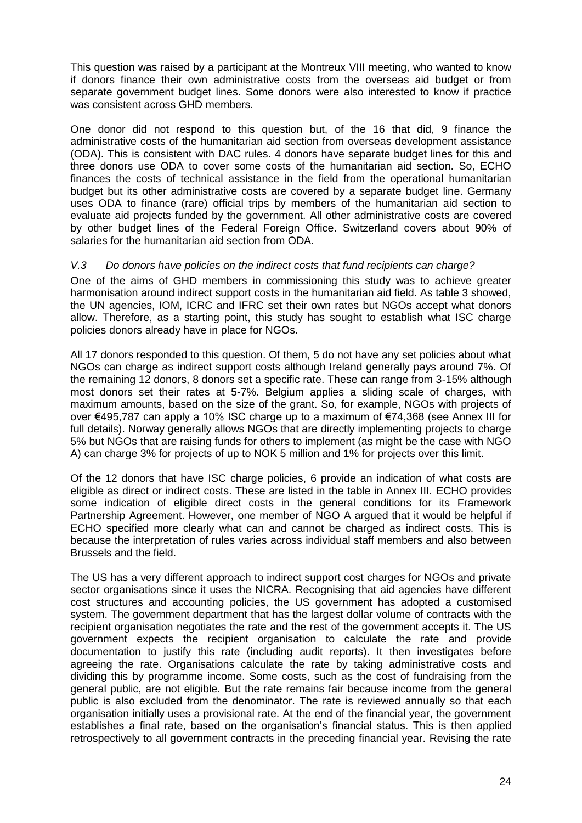This question was raised by a participant at the Montreux VIII meeting, who wanted to know if donors finance their own administrative costs from the overseas aid budget or from separate government budget lines. Some donors were also interested to know if practice was consistent across GHD members.

One donor did not respond to this question but, of the 16 that did, 9 finance the administrative costs of the humanitarian aid section from overseas development assistance (ODA). This is consistent with DAC rules. 4 donors have separate budget lines for this and three donors use ODA to cover some costs of the humanitarian aid section. So, ECHO finances the costs of technical assistance in the field from the operational humanitarian budget but its other administrative costs are covered by a separate budget line. Germany uses ODA to finance (rare) official trips by members of the humanitarian aid section to evaluate aid projects funded by the government. All other administrative costs are covered by other budget lines of the Federal Foreign Office. Switzerland covers about 90% of salaries for the humanitarian aid section from ODA.

#### *V.3 Do donors have policies on the indirect costs that fund recipients can charge?*

One of the aims of GHD members in commissioning this study was to achieve greater harmonisation around indirect support costs in the humanitarian aid field. As table 3 showed, the UN agencies, IOM, ICRC and IFRC set their own rates but NGOs accept what donors allow. Therefore, as a starting point, this study has sought to establish what ISC charge policies donors already have in place for NGOs.

All 17 donors responded to this question. Of them, 5 do not have any set policies about what NGOs can charge as indirect support costs although Ireland generally pays around 7%. Of the remaining 12 donors, 8 donors set a specific rate. These can range from 3-15% although most donors set their rates at 5-7%. Belgium applies a sliding scale of charges, with maximum amounts, based on the size of the grant. So, for example, NGOs with projects of over €495,787 can apply a 10% ISC charge up to a maximum of €74,368 (see Annex III for full details). Norway generally allows NGOs that are directly implementing projects to charge 5% but NGOs that are raising funds for others to implement (as might be the case with NGO A) can charge 3% for projects of up to NOK 5 million and 1% for projects over this limit.

Of the 12 donors that have ISC charge policies, 6 provide an indication of what costs are eligible as direct or indirect costs. These are listed in the table in Annex III. ECHO provides some indication of eligible direct costs in the general conditions for its Framework Partnership Agreement. However, one member of NGO A argued that it would be helpful if ECHO specified more clearly what can and cannot be charged as indirect costs. This is because the interpretation of rules varies across individual staff members and also between Brussels and the field.

The US has a very different approach to indirect support cost charges for NGOs and private sector organisations since it uses the NICRA. Recognising that aid agencies have different cost structures and accounting policies, the US government has adopted a customised system. The government department that has the largest dollar volume of contracts with the recipient organisation negotiates the rate and the rest of the government accepts it. The US government expects the recipient organisation to calculate the rate and provide documentation to justify this rate (including audit reports). It then investigates before agreeing the rate. Organisations calculate the rate by taking administrative costs and dividing this by programme income. Some costs, such as the cost of fundraising from the general public, are not eligible. But the rate remains fair because income from the general public is also excluded from the denominator. The rate is reviewed annually so that each organisation initially uses a provisional rate. At the end of the financial year, the government establishes a final rate, based on the organisation's financial status. This is then applied retrospectively to all government contracts in the preceding financial year. Revising the rate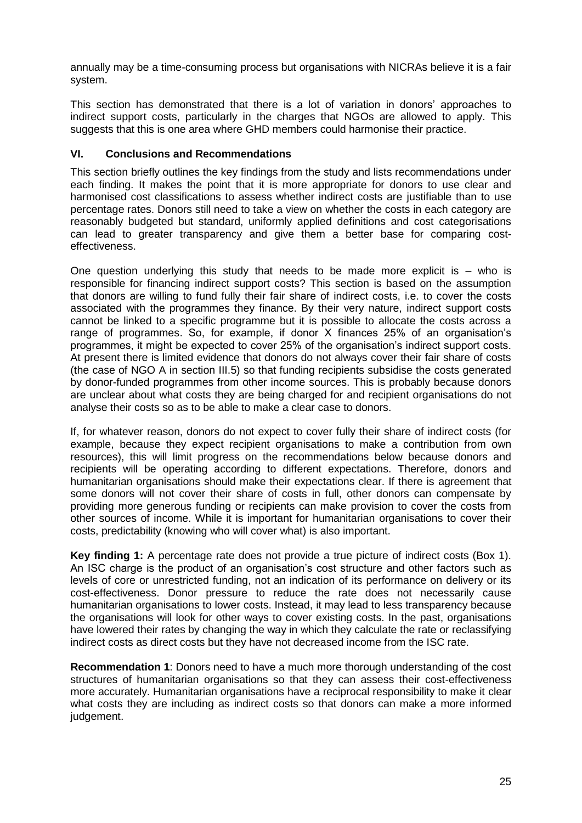annually may be a time-consuming process but organisations with NICRAs believe it is a fair system.

This section has demonstrated that there is a lot of variation in donors' approaches to indirect support costs, particularly in the charges that NGOs are allowed to apply. This suggests that this is one area where GHD members could harmonise their practice.

### **VI. Conclusions and Recommendations**

This section briefly outlines the key findings from the study and lists recommendations under each finding. It makes the point that it is more appropriate for donors to use clear and harmonised cost classifications to assess whether indirect costs are justifiable than to use percentage rates. Donors still need to take a view on whether the costs in each category are reasonably budgeted but standard, uniformly applied definitions and cost categorisations can lead to greater transparency and give them a better base for comparing costeffectiveness.

One question underlying this study that needs to be made more explicit is  $-$  who is responsible for financing indirect support costs? This section is based on the assumption that donors are willing to fund fully their fair share of indirect costs, i.e. to cover the costs associated with the programmes they finance. By their very nature, indirect support costs cannot be linked to a specific programme but it is possible to allocate the costs across a range of programmes. So, for example, if donor X finances 25% of an organisation's programmes, it might be expected to cover 25% of the organisation's indirect support costs. At present there is limited evidence that donors do not always cover their fair share of costs (the case of NGO A in section III.5) so that funding recipients subsidise the costs generated by donor-funded programmes from other income sources. This is probably because donors are unclear about what costs they are being charged for and recipient organisations do not analyse their costs so as to be able to make a clear case to donors.

If, for whatever reason, donors do not expect to cover fully their share of indirect costs (for example, because they expect recipient organisations to make a contribution from own resources), this will limit progress on the recommendations below because donors and recipients will be operating according to different expectations. Therefore, donors and humanitarian organisations should make their expectations clear. If there is agreement that some donors will not cover their share of costs in full, other donors can compensate by providing more generous funding or recipients can make provision to cover the costs from other sources of income. While it is important for humanitarian organisations to cover their costs, predictability (knowing who will cover what) is also important.

**Key finding 1:** A percentage rate does not provide a true picture of indirect costs (Box 1). An ISC charge is the product of an organisation's cost structure and other factors such as levels of core or unrestricted funding, not an indication of its performance on delivery or its cost-effectiveness. Donor pressure to reduce the rate does not necessarily cause humanitarian organisations to lower costs. Instead, it may lead to less transparency because the organisations will look for other ways to cover existing costs. In the past, organisations have lowered their rates by changing the way in which they calculate the rate or reclassifying indirect costs as direct costs but they have not decreased income from the ISC rate.

**Recommendation 1**: Donors need to have a much more thorough understanding of the cost structures of humanitarian organisations so that they can assess their cost-effectiveness more accurately. Humanitarian organisations have a reciprocal responsibility to make it clear what costs they are including as indirect costs so that donors can make a more informed judgement.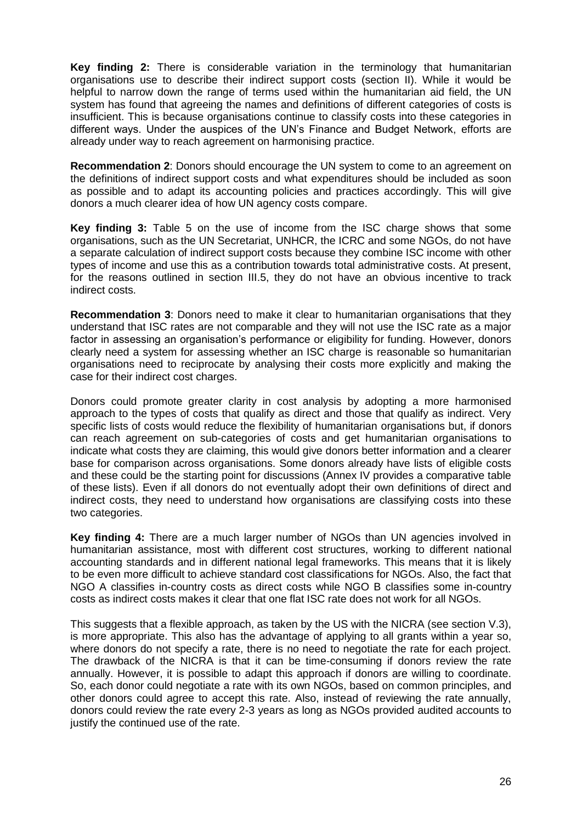**Key finding 2:** There is considerable variation in the terminology that humanitarian organisations use to describe their indirect support costs (section II). While it would be helpful to narrow down the range of terms used within the humanitarian aid field, the UN system has found that agreeing the names and definitions of different categories of costs is insufficient. This is because organisations continue to classify costs into these categories in different ways. Under the auspices of the UN's Finance and Budget Network, efforts are already under way to reach agreement on harmonising practice.

**Recommendation 2**: Donors should encourage the UN system to come to an agreement on the definitions of indirect support costs and what expenditures should be included as soon as possible and to adapt its accounting policies and practices accordingly. This will give donors a much clearer idea of how UN agency costs compare.

**Key finding 3:** Table 5 on the use of income from the ISC charge shows that some organisations, such as the UN Secretariat, UNHCR, the ICRC and some NGOs, do not have a separate calculation of indirect support costs because they combine ISC income with other types of income and use this as a contribution towards total administrative costs. At present, for the reasons outlined in section III.5, they do not have an obvious incentive to track indirect costs.

**Recommendation 3**: Donors need to make it clear to humanitarian organisations that they understand that ISC rates are not comparable and they will not use the ISC rate as a major factor in assessing an organisation's performance or eligibility for funding. However, donors clearly need a system for assessing whether an ISC charge is reasonable so humanitarian organisations need to reciprocate by analysing their costs more explicitly and making the case for their indirect cost charges.

Donors could promote greater clarity in cost analysis by adopting a more harmonised approach to the types of costs that qualify as direct and those that qualify as indirect. Very specific lists of costs would reduce the flexibility of humanitarian organisations but, if donors can reach agreement on sub-categories of costs and get humanitarian organisations to indicate what costs they are claiming, this would give donors better information and a clearer base for comparison across organisations. Some donors already have lists of eligible costs and these could be the starting point for discussions (Annex IV provides a comparative table of these lists). Even if all donors do not eventually adopt their own definitions of direct and indirect costs, they need to understand how organisations are classifying costs into these two categories.

**Key finding 4:** There are a much larger number of NGOs than UN agencies involved in humanitarian assistance, most with different cost structures, working to different national accounting standards and in different national legal frameworks. This means that it is likely to be even more difficult to achieve standard cost classifications for NGOs. Also, the fact that NGO A classifies in-country costs as direct costs while NGO B classifies some in-country costs as indirect costs makes it clear that one flat ISC rate does not work for all NGOs.

This suggests that a flexible approach, as taken by the US with the NICRA (see section V.3), is more appropriate. This also has the advantage of applying to all grants within a year so, where donors do not specify a rate, there is no need to negotiate the rate for each project. The drawback of the NICRA is that it can be time-consuming if donors review the rate annually. However, it is possible to adapt this approach if donors are willing to coordinate. So, each donor could negotiate a rate with its own NGOs, based on common principles, and other donors could agree to accept this rate. Also, instead of reviewing the rate annually, donors could review the rate every 2-3 years as long as NGOs provided audited accounts to justify the continued use of the rate.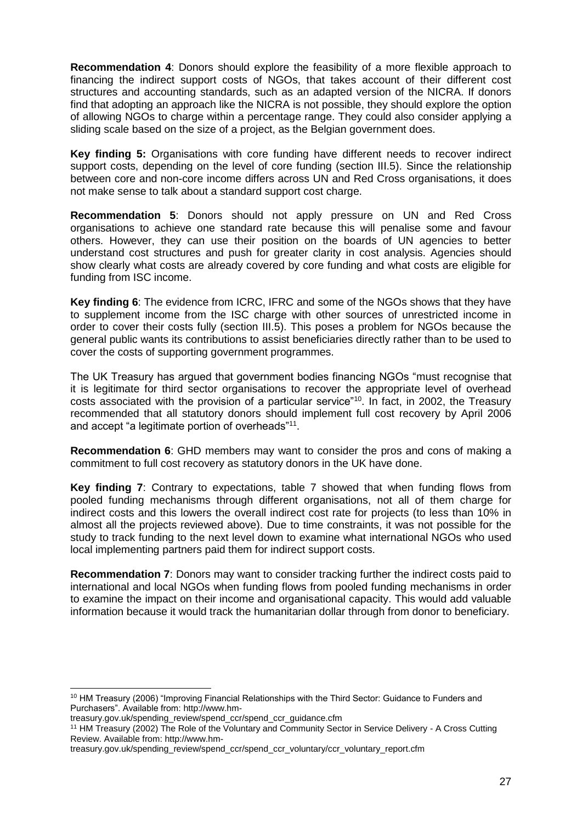**Recommendation 4**: Donors should explore the feasibility of a more flexible approach to financing the indirect support costs of NGOs, that takes account of their different cost structures and accounting standards, such as an adapted version of the NICRA. If donors find that adopting an approach like the NICRA is not possible, they should explore the option of allowing NGOs to charge within a percentage range. They could also consider applying a sliding scale based on the size of a project, as the Belgian government does.

**Key finding 5:** Organisations with core funding have different needs to recover indirect support costs, depending on the level of core funding (section III.5). Since the relationship between core and non-core income differs across UN and Red Cross organisations, it does not make sense to talk about a standard support cost charge.

**Recommendation 5**: Donors should not apply pressure on UN and Red Cross organisations to achieve one standard rate because this will penalise some and favour others. However, they can use their position on the boards of UN agencies to better understand cost structures and push for greater clarity in cost analysis. Agencies should show clearly what costs are already covered by core funding and what costs are eligible for funding from ISC income.

**Key finding 6**: The evidence from ICRC, IFRC and some of the NGOs shows that they have to supplement income from the ISC charge with other sources of unrestricted income in order to cover their costs fully (section III.5). This poses a problem for NGOs because the general public wants its contributions to assist beneficiaries directly rather than to be used to cover the costs of supporting government programmes.

The UK Treasury has argued that government bodies financing NGOs "must recognise that it is legitimate for third sector organisations to recover the appropriate level of overhead costs associated with the provision of a particular service"<sup>10</sup>. In fact, in 2002, the Treasury recommended that all statutory donors should implement full cost recovery by April 2006 and accept "a legitimate portion of overheads"<sup>11</sup>.

**Recommendation 6**: GHD members may want to consider the pros and cons of making a commitment to full cost recovery as statutory donors in the UK have done.

**Key finding 7**: Contrary to expectations, table 7 showed that when funding flows from pooled funding mechanisms through different organisations, not all of them charge for indirect costs and this lowers the overall indirect cost rate for projects (to less than 10% in almost all the projects reviewed above). Due to time constraints, it was not possible for the study to track funding to the next level down to examine what international NGOs who used local implementing partners paid them for indirect support costs.

**Recommendation 7**: Donors may want to consider tracking further the indirect costs paid to international and local NGOs when funding flows from pooled funding mechanisms in order to examine the impact on their income and organisational capacity. This would add valuable information because it would track the humanitarian dollar through from donor to beneficiary.

<sup>1</sup> <sup>10</sup> HM Treasury (2006) "Improving Financial Relationships with the Third Sector: Guidance to Funders and Purchasers". Available from: http://www.hm-

treasury.gov.uk/spending\_review/spend\_ccr/spend\_ccr\_guidance.cfm

<sup>11</sup> HM Treasury (2002) The Role of the Voluntary and Community Sector in Service Delivery - A Cross Cutting Review. Available from: http://www.hm-

treasury.gov.uk/spending\_review/spend\_ccr/spend\_ccr\_voluntary/ccr\_voluntary\_report.cfm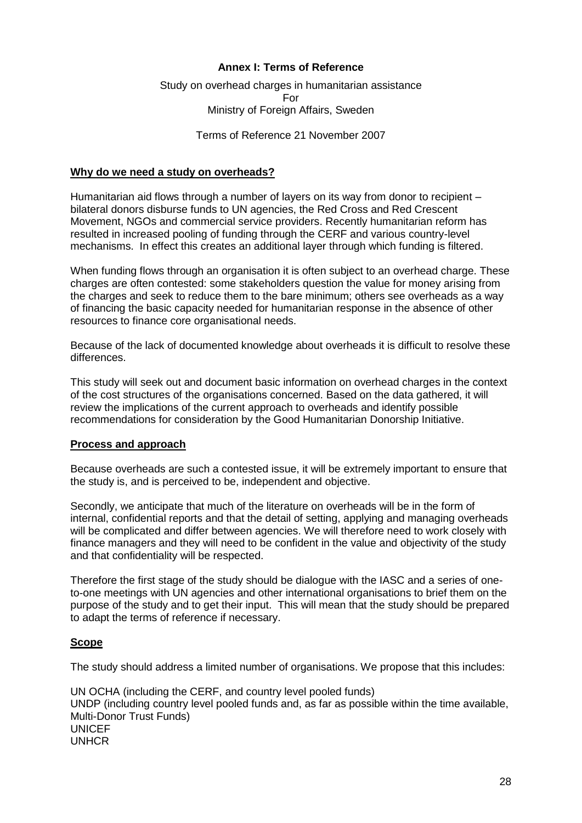#### **Annex I: Terms of Reference**

### Study on overhead charges in humanitarian assistance For Ministry of Foreign Affairs, Sweden

Terms of Reference 21 November 2007

#### **Why do we need a study on overheads?**

Humanitarian aid flows through a number of layers on its way from donor to recipient – bilateral donors disburse funds to UN agencies, the Red Cross and Red Crescent Movement, NGOs and commercial service providers. Recently humanitarian reform has resulted in increased pooling of funding through the CERF and various country-level mechanisms. In effect this creates an additional layer through which funding is filtered.

When funding flows through an organisation it is often subject to an overhead charge. These charges are often contested: some stakeholders question the value for money arising from the charges and seek to reduce them to the bare minimum; others see overheads as a way of financing the basic capacity needed for humanitarian response in the absence of other resources to finance core organisational needs.

Because of the lack of documented knowledge about overheads it is difficult to resolve these differences.

This study will seek out and document basic information on overhead charges in the context of the cost structures of the organisations concerned. Based on the data gathered, it will review the implications of the current approach to overheads and identify possible recommendations for consideration by the Good Humanitarian Donorship Initiative.

#### **Process and approach**

Because overheads are such a contested issue, it will be extremely important to ensure that the study is, and is perceived to be, independent and objective.

Secondly, we anticipate that much of the literature on overheads will be in the form of internal, confidential reports and that the detail of setting, applying and managing overheads will be complicated and differ between agencies. We will therefore need to work closely with finance managers and they will need to be confident in the value and objectivity of the study and that confidentiality will be respected.

Therefore the first stage of the study should be dialogue with the IASC and a series of oneto-one meetings with UN agencies and other international organisations to brief them on the purpose of the study and to get their input. This will mean that the study should be prepared to adapt the terms of reference if necessary.

#### **Scope**

The study should address a limited number of organisations. We propose that this includes:

UN OCHA (including the CERF, and country level pooled funds) UNDP (including country level pooled funds and, as far as possible within the time available, Multi-Donor Trust Funds) UNICEF UNHCR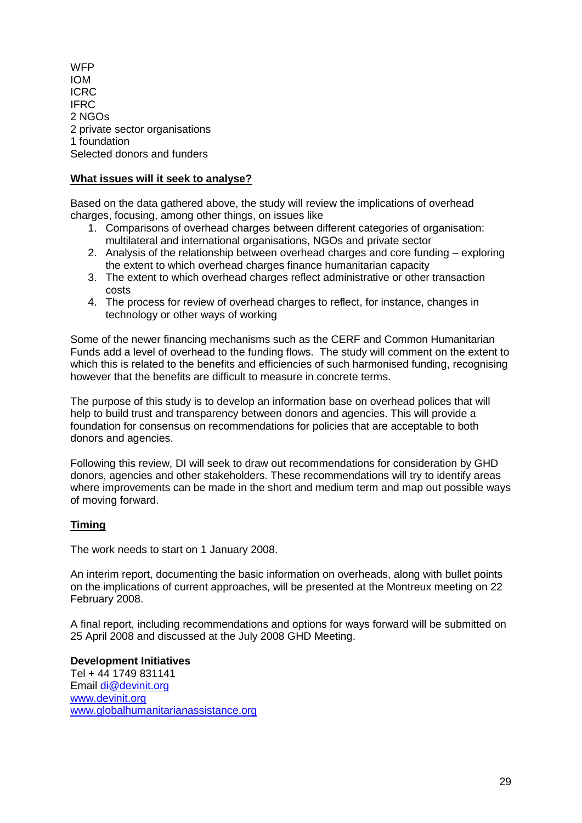**WFP** IOM ICRC IFRC 2 NGOs 2 private sector organisations 1 foundation Selected donors and funders

### **What issues will it seek to analyse?**

Based on the data gathered above, the study will review the implications of overhead charges, focusing, among other things, on issues like

- 1. Comparisons of overhead charges between different categories of organisation: multilateral and international organisations, NGOs and private sector
- 2. Analysis of the relationship between overhead charges and core funding exploring the extent to which overhead charges finance humanitarian capacity
- 3. The extent to which overhead charges reflect administrative or other transaction costs
- 4. The process for review of overhead charges to reflect, for instance, changes in technology or other ways of working

Some of the newer financing mechanisms such as the CERF and Common Humanitarian Funds add a level of overhead to the funding flows. The study will comment on the extent to which this is related to the benefits and efficiencies of such harmonised funding, recognising however that the benefits are difficult to measure in concrete terms.

The purpose of this study is to develop an information base on overhead polices that will help to build trust and transparency between donors and agencies. This will provide a foundation for consensus on recommendations for policies that are acceptable to both donors and agencies.

Following this review, DI will seek to draw out recommendations for consideration by GHD donors, agencies and other stakeholders. These recommendations will try to identify areas where improvements can be made in the short and medium term and map out possible ways of moving forward.

#### **Timing**

The work needs to start on 1 January 2008.

An interim report, documenting the basic information on overheads, along with bullet points on the implications of current approaches, will be presented at the Montreux meeting on 22 February 2008.

A final report, including recommendations and options for ways forward will be submitted on 25 April 2008 and discussed at the July 2008 GHD Meeting.

**Development Initiatives** Tel + 44 1749 831141 Email [di@devinit.org](mailto:di@devinit.org) [www.devinit.org](http://www.devinit.org/) [www.globalhumanitarianassistance.org](http://www.globalhumanitarianassistance.org/)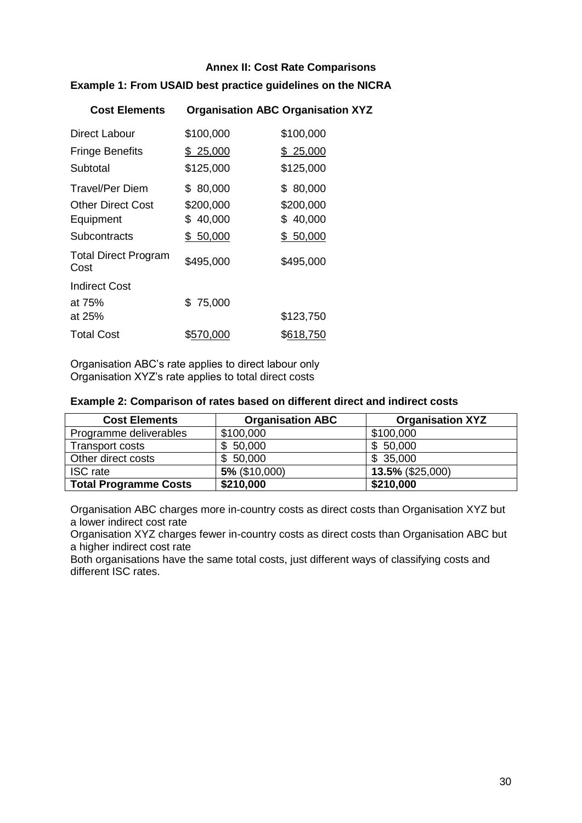### **Annex II: Cost Rate Comparisons**

### **Example 1: From USAID best practice guidelines on the NICRA**

| <b>Cost Elements</b>                |           | <b>Organisation ABC Organisation XYZ</b> |
|-------------------------------------|-----------|------------------------------------------|
| <b>Direct Labour</b>                | \$100,000 | \$100,000                                |
| <b>Fringe Benefits</b>              | \$25,000  | \$25,000                                 |
| Subtotal                            | \$125,000 | \$125,000                                |
| Travel/Per Diem                     | \$80,000  | \$80,000                                 |
| <b>Other Direct Cost</b>            | \$200,000 | \$200,000                                |
| Equipment                           | \$40,000  | \$40,000                                 |
| Subcontracts                        | \$50,000  | \$50,000                                 |
| <b>Total Direct Program</b><br>Cost | \$495,000 | \$495,000                                |
| <b>Indirect Cost</b>                |           |                                          |
| at 75%                              | \$75,000  |                                          |
| at 25%                              |           | \$123,750                                |
| <b>Total Cost</b>                   | \$570,000 | \$618,750                                |

Organisation ABC's rate applies to direct labour only Organisation XYZ's rate applies to total direct costs

#### **Example 2: Comparison of rates based on different direct and indirect costs**

| <b>Cost Elements</b>         | <b>Organisation ABC</b> | <b>Organisation XYZ</b> |
|------------------------------|-------------------------|-------------------------|
| Programme deliverables       | \$100,000               | \$100,000               |
| Transport costs              | 50,000<br>\$.           | \$50,000                |
| Other direct costs           | 50,000<br>\$.           | \$35,000                |
| <b>ISC</b> rate              | 5% (\$10,000)           | 13.5% (\$25,000)        |
| <b>Total Programme Costs</b> | \$210,000               | \$210,000               |

Organisation ABC charges more in-country costs as direct costs than Organisation XYZ but a lower indirect cost rate

Organisation XYZ charges fewer in-country costs as direct costs than Organisation ABC but a higher indirect cost rate

Both organisations have the same total costs, just different ways of classifying costs and different ISC rates.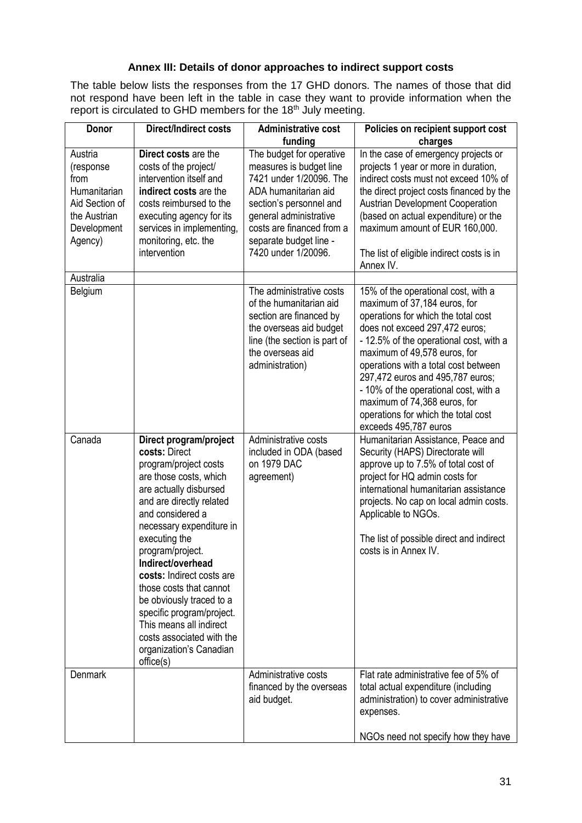### **Annex III: Details of donor approaches to indirect support costs**

The table below lists the responses from the 17 GHD donors. The names of those that did not respond have been left in the table in case they want to provide information when the report is circulated to GHD members for the 18<sup>th</sup> July meeting.

| Donor                                                                                                    | <b>Direct/Indirect costs</b>                                                                                                                                                                                                                                                                                                                                                                                                                                                | <b>Administrative cost</b><br>funding                                                                                                                                                                                                     | Policies on recipient support cost<br>charges                                                                                                                                                                                                                                                                                                                                                                                                |
|----------------------------------------------------------------------------------------------------------|-----------------------------------------------------------------------------------------------------------------------------------------------------------------------------------------------------------------------------------------------------------------------------------------------------------------------------------------------------------------------------------------------------------------------------------------------------------------------------|-------------------------------------------------------------------------------------------------------------------------------------------------------------------------------------------------------------------------------------------|----------------------------------------------------------------------------------------------------------------------------------------------------------------------------------------------------------------------------------------------------------------------------------------------------------------------------------------------------------------------------------------------------------------------------------------------|
| Austria<br>(response<br>from<br>Humanitarian<br>Aid Section of<br>the Austrian<br>Development<br>Agency) | Direct costs are the<br>costs of the project/<br>intervention itself and<br>indirect costs are the<br>costs reimbursed to the<br>executing agency for its<br>services in implementing,<br>monitoring, etc. the<br>intervention                                                                                                                                                                                                                                              | The budget for operative<br>measures is budget line<br>7421 under 1/20096. The<br>ADA humanitarian aid<br>section's personnel and<br>general administrative<br>costs are financed from a<br>separate budget line -<br>7420 under 1/20096. | In the case of emergency projects or<br>projects 1 year or more in duration,<br>indirect costs must not exceed 10% of<br>the direct project costs financed by the<br><b>Austrian Development Cooperation</b><br>(based on actual expenditure) or the<br>maximum amount of EUR 160,000.<br>The list of eligible indirect costs is in<br>Annex IV.                                                                                             |
| Australia<br>Belgium                                                                                     |                                                                                                                                                                                                                                                                                                                                                                                                                                                                             | The administrative costs                                                                                                                                                                                                                  |                                                                                                                                                                                                                                                                                                                                                                                                                                              |
|                                                                                                          |                                                                                                                                                                                                                                                                                                                                                                                                                                                                             | of the humanitarian aid<br>section are financed by<br>the overseas aid budget<br>line (the section is part of<br>the overseas aid<br>administration)                                                                                      | 15% of the operational cost, with a<br>maximum of 37,184 euros, for<br>operations for which the total cost<br>does not exceed 297,472 euros;<br>- 12.5% of the operational cost, with a<br>maximum of 49,578 euros, for<br>operations with a total cost between<br>297,472 euros and 495,787 euros;<br>- 10% of the operational cost, with a<br>maximum of 74,368 euros, for<br>operations for which the total cost<br>exceeds 495,787 euros |
| Canada                                                                                                   | Direct program/project<br>costs: Direct<br>program/project costs<br>are those costs, which<br>are actually disbursed<br>and are directly related<br>and considered a<br>necessary expenditure in<br>executing the<br>program/project.<br>Indirect/overhead<br>costs: Indirect costs are<br>those costs that cannot<br>be obviously traced to a<br>specific program/project.<br>This means all indirect<br>costs associated with the<br>organization's Canadian<br>offset(s) | Administrative costs<br>included in ODA (based<br>on 1979 DAC<br>agreement)                                                                                                                                                               | Humanitarian Assistance, Peace and<br>Security (HAPS) Directorate will<br>approve up to 7.5% of total cost of<br>project for HQ admin costs for<br>international humanitarian assistance<br>projects. No cap on local admin costs.<br>Applicable to NGOs.<br>The list of possible direct and indirect<br>costs is in Annex IV.                                                                                                               |
| <b>Denmark</b>                                                                                           |                                                                                                                                                                                                                                                                                                                                                                                                                                                                             | Administrative costs<br>financed by the overseas<br>aid budget.                                                                                                                                                                           | Flat rate administrative fee of 5% of<br>total actual expenditure (including<br>administration) to cover administrative<br>expenses.<br>NGOs need not specify how they have                                                                                                                                                                                                                                                                  |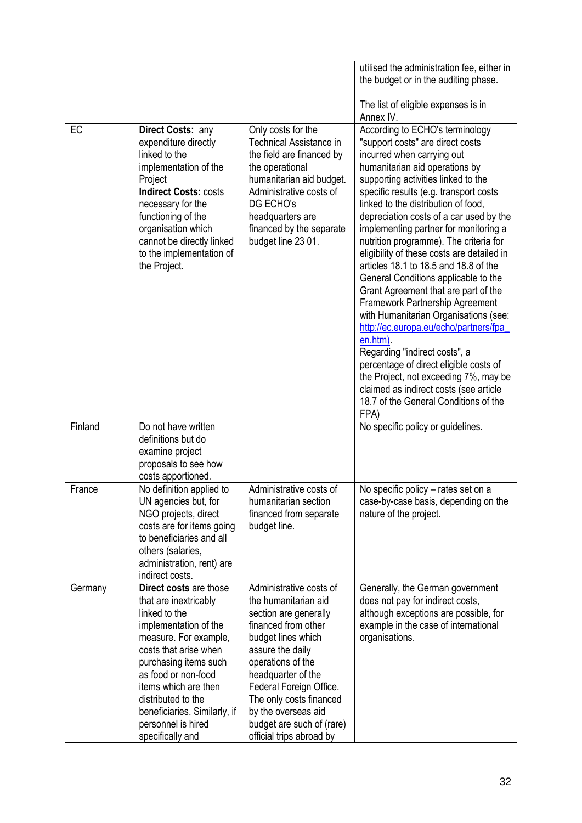|         |                                                                                                                                                                                                                                                                                                                     |                                                                                                                                                                                                                                                                                                                            | utilised the administration fee, either in<br>the budget or in the auditing phase.<br>The list of eligible expenses is in<br>Annex IV.                                                                                                                                                                                                                                                                                                                                                                                                                                                                                                                                                                                                                                                                                                                                                                           |
|---------|---------------------------------------------------------------------------------------------------------------------------------------------------------------------------------------------------------------------------------------------------------------------------------------------------------------------|----------------------------------------------------------------------------------------------------------------------------------------------------------------------------------------------------------------------------------------------------------------------------------------------------------------------------|------------------------------------------------------------------------------------------------------------------------------------------------------------------------------------------------------------------------------------------------------------------------------------------------------------------------------------------------------------------------------------------------------------------------------------------------------------------------------------------------------------------------------------------------------------------------------------------------------------------------------------------------------------------------------------------------------------------------------------------------------------------------------------------------------------------------------------------------------------------------------------------------------------------|
| EC      | Direct Costs: any<br>expenditure directly<br>linked to the<br>implementation of the<br>Project<br><b>Indirect Costs: costs</b><br>necessary for the<br>functioning of the<br>organisation which<br>cannot be directly linked<br>to the implementation of<br>the Project.                                            | Only costs for the<br><b>Technical Assistance in</b><br>the field are financed by<br>the operational<br>humanitarian aid budget.<br>Administrative costs of<br>DG ECHO's<br>headquarters are<br>financed by the separate<br>budget line 23 01.                                                                             | According to ECHO's terminology<br>"support costs" are direct costs<br>incurred when carrying out<br>humanitarian aid operations by<br>supporting activities linked to the<br>specific results (e.g. transport costs<br>linked to the distribution of food,<br>depreciation costs of a car used by the<br>implementing partner for monitoring a<br>nutrition programme). The criteria for<br>eligibility of these costs are detailed in<br>articles 18.1 to 18.5 and 18.8 of the<br>General Conditions applicable to the<br>Grant Agreement that are part of the<br>Framework Partnership Agreement<br>with Humanitarian Organisations (see:<br>http://ec.europa.eu/echo/partners/fpa<br>en.htm).<br>Regarding "indirect costs", a<br>percentage of direct eligible costs of<br>the Project, not exceeding 7%, may be<br>claimed as indirect costs (see article<br>18.7 of the General Conditions of the<br>FPA) |
| Finland | Do not have written<br>definitions but do<br>examine project<br>proposals to see how<br>costs apportioned.                                                                                                                                                                                                          |                                                                                                                                                                                                                                                                                                                            | No specific policy or guidelines.                                                                                                                                                                                                                                                                                                                                                                                                                                                                                                                                                                                                                                                                                                                                                                                                                                                                                |
| France  | No definition applied to<br>UN agencies but, for<br>NGO projects, direct<br>costs are for items going<br>to beneficiaries and all<br>others (salaries,<br>administration, rent) are<br>indirect costs.                                                                                                              | Administrative costs of<br>humanitarian section<br>financed from separate<br>budget line.                                                                                                                                                                                                                                  | No specific policy – rates set on a<br>case-by-case basis, depending on the<br>nature of the project.                                                                                                                                                                                                                                                                                                                                                                                                                                                                                                                                                                                                                                                                                                                                                                                                            |
| Germany | Direct costs are those<br>that are inextricably<br>linked to the<br>implementation of the<br>measure. For example,<br>costs that arise when<br>purchasing items such<br>as food or non-food<br>items which are then<br>distributed to the<br>beneficiaries. Similarly, if<br>personnel is hired<br>specifically and | Administrative costs of<br>the humanitarian aid<br>section are generally<br>financed from other<br>budget lines which<br>assure the daily<br>operations of the<br>headquarter of the<br>Federal Foreign Office.<br>The only costs financed<br>by the overseas aid<br>budget are such of (rare)<br>official trips abroad by | Generally, the German government<br>does not pay for indirect costs,<br>although exceptions are possible, for<br>example in the case of international<br>organisations.                                                                                                                                                                                                                                                                                                                                                                                                                                                                                                                                                                                                                                                                                                                                          |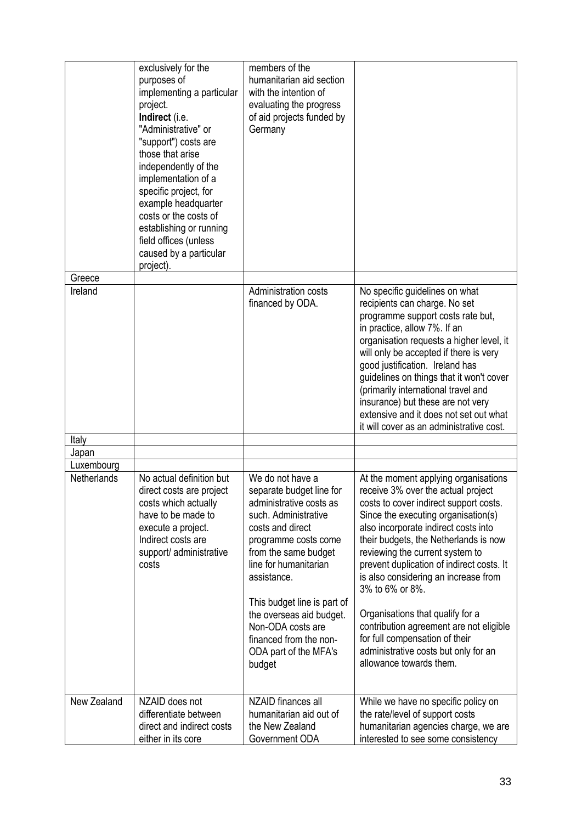|             | exclusively for the<br>purposes of<br>implementing a particular<br>project.<br>Indirect (i.e.<br>"Administrative" or<br>"support") costs are<br>those that arise<br>independently of the<br>implementation of a<br>specific project, for<br>example headquarter | members of the<br>humanitarian aid section<br>with the intention of<br>evaluating the progress<br>of aid projects funded by<br>Germany                                                                                                     |                                                                                                                                                                                                                                                                                                                                                                                                                                                                             |
|-------------|-----------------------------------------------------------------------------------------------------------------------------------------------------------------------------------------------------------------------------------------------------------------|--------------------------------------------------------------------------------------------------------------------------------------------------------------------------------------------------------------------------------------------|-----------------------------------------------------------------------------------------------------------------------------------------------------------------------------------------------------------------------------------------------------------------------------------------------------------------------------------------------------------------------------------------------------------------------------------------------------------------------------|
|             | costs or the costs of<br>establishing or running<br>field offices (unless<br>caused by a particular<br>project).                                                                                                                                                |                                                                                                                                                                                                                                            |                                                                                                                                                                                                                                                                                                                                                                                                                                                                             |
| Greece      |                                                                                                                                                                                                                                                                 |                                                                                                                                                                                                                                            |                                                                                                                                                                                                                                                                                                                                                                                                                                                                             |
| Ireland     |                                                                                                                                                                                                                                                                 | Administration costs<br>financed by ODA.                                                                                                                                                                                                   | No specific guidelines on what<br>recipients can charge. No set<br>programme support costs rate but,<br>in practice, allow 7%. If an<br>organisation requests a higher level, it<br>will only be accepted if there is very<br>good justification. Ireland has<br>guidelines on things that it won't cover<br>(primarily international travel and<br>insurance) but these are not very<br>extensive and it does not set out what<br>it will cover as an administrative cost. |
| Italy       |                                                                                                                                                                                                                                                                 |                                                                                                                                                                                                                                            |                                                                                                                                                                                                                                                                                                                                                                                                                                                                             |
| Japan       |                                                                                                                                                                                                                                                                 |                                                                                                                                                                                                                                            |                                                                                                                                                                                                                                                                                                                                                                                                                                                                             |
| Luxembourg  |                                                                                                                                                                                                                                                                 |                                                                                                                                                                                                                                            |                                                                                                                                                                                                                                                                                                                                                                                                                                                                             |
| Netherlands | No actual definition but<br>direct costs are project<br>costs which actually<br>have to be made to<br>execute a project.<br>Indirect costs are<br>support/ administrative<br>costs                                                                              | We do not have a<br>separate budget line for<br>administrative costs as<br>such. Administrative<br>costs and direct<br>programme costs come<br>from the same budget<br>line for humanitarian<br>assistance.<br>This budget line is part of | At the moment applying organisations<br>receive 3% over the actual project<br>costs to cover indirect support costs.<br>Since the executing organisation(s)<br>also incorporate indirect costs into<br>their budgets, the Netherlands is now<br>reviewing the current system to<br>prevent duplication of indirect costs. It<br>is also considering an increase from<br>3% to 6% or 8%.                                                                                     |
|             |                                                                                                                                                                                                                                                                 | the overseas aid budget.<br>Non-ODA costs are<br>financed from the non-<br>ODA part of the MFA's<br>budget                                                                                                                                 | Organisations that qualify for a<br>contribution agreement are not eligible<br>for full compensation of their<br>administrative costs but only for an<br>allowance towards them.                                                                                                                                                                                                                                                                                            |
| New Zealand | NZAID does not<br>differentiate between<br>direct and indirect costs                                                                                                                                                                                            | NZAID finances all<br>humanitarian aid out of<br>the New Zealand                                                                                                                                                                           | While we have no specific policy on<br>the rate/level of support costs<br>humanitarian agencies charge, we are                                                                                                                                                                                                                                                                                                                                                              |
|             | either in its core                                                                                                                                                                                                                                              | Government ODA                                                                                                                                                                                                                             | interested to see some consistency                                                                                                                                                                                                                                                                                                                                                                                                                                          |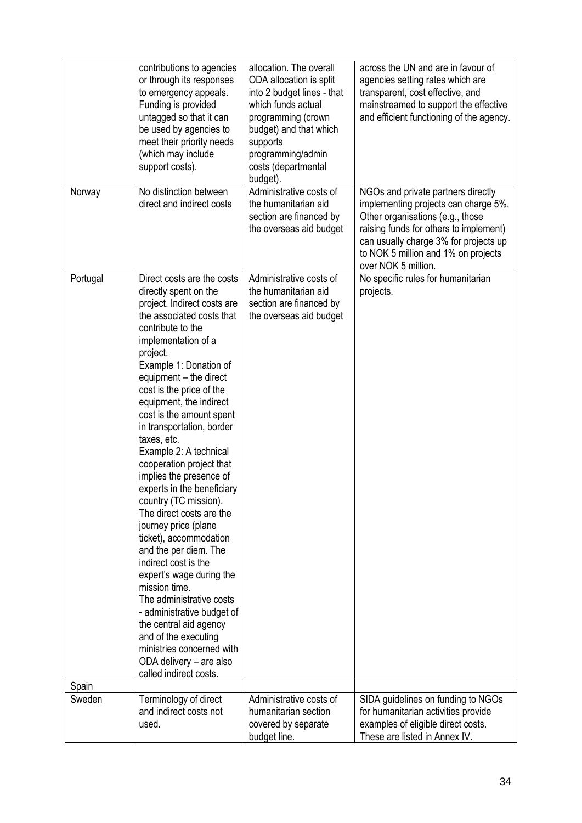|          | contributions to agencies<br>or through its responses<br>to emergency appeals.<br>Funding is provided<br>untagged so that it can<br>be used by agencies to<br>meet their priority needs<br>(which may include<br>support costs).                                                                                                                                                                                                                                                                                                                                                                                                                                                                                                                                                                                                                                             | allocation. The overall<br>ODA allocation is split<br>into 2 budget lines - that<br>which funds actual<br>programming (crown<br>budget) and that which<br>supports<br>programming/admin<br>costs (departmental<br>budget). | across the UN and are in favour of<br>agencies setting rates which are<br>transparent, cost effective, and<br>mainstreamed to support the effective<br>and efficient functioning of the agency.                                                                 |
|----------|------------------------------------------------------------------------------------------------------------------------------------------------------------------------------------------------------------------------------------------------------------------------------------------------------------------------------------------------------------------------------------------------------------------------------------------------------------------------------------------------------------------------------------------------------------------------------------------------------------------------------------------------------------------------------------------------------------------------------------------------------------------------------------------------------------------------------------------------------------------------------|----------------------------------------------------------------------------------------------------------------------------------------------------------------------------------------------------------------------------|-----------------------------------------------------------------------------------------------------------------------------------------------------------------------------------------------------------------------------------------------------------------|
| Norway   | No distinction between<br>direct and indirect costs                                                                                                                                                                                                                                                                                                                                                                                                                                                                                                                                                                                                                                                                                                                                                                                                                          | Administrative costs of<br>the humanitarian aid<br>section are financed by<br>the overseas aid budget                                                                                                                      | NGOs and private partners directly<br>implementing projects can charge 5%.<br>Other organisations (e.g., those<br>raising funds for others to implement)<br>can usually charge 3% for projects up<br>to NOK 5 million and 1% on projects<br>over NOK 5 million. |
| Portugal | Direct costs are the costs<br>directly spent on the<br>project. Indirect costs are<br>the associated costs that<br>contribute to the<br>implementation of a<br>project.<br>Example 1: Donation of<br>equipment – the direct<br>cost is the price of the<br>equipment, the indirect<br>cost is the amount spent<br>in transportation, border<br>taxes, etc.<br>Example 2: A technical<br>cooperation project that<br>implies the presence of<br>experts in the beneficiary<br>country (TC mission).<br>The direct costs are the<br>journey price (plane<br>ticket), accommodation<br>and the per diem. The<br>indirect cost is the<br>expert's wage during the<br>mission time.<br>The administrative costs<br>- administrative budget of<br>the central aid agency<br>and of the executing<br>ministries concerned with<br>ODA delivery - are also<br>called indirect costs. | Administrative costs of<br>the humanitarian aid<br>section are financed by<br>the overseas aid budget                                                                                                                      | No specific rules for humanitarian<br>projects.                                                                                                                                                                                                                 |
| Spain    |                                                                                                                                                                                                                                                                                                                                                                                                                                                                                                                                                                                                                                                                                                                                                                                                                                                                              |                                                                                                                                                                                                                            |                                                                                                                                                                                                                                                                 |
| Sweden   | Terminology of direct<br>and indirect costs not<br>used.                                                                                                                                                                                                                                                                                                                                                                                                                                                                                                                                                                                                                                                                                                                                                                                                                     | Administrative costs of<br>humanitarian section<br>covered by separate<br>budget line.                                                                                                                                     | SIDA guidelines on funding to NGOs<br>for humanitarian activities provide<br>examples of eligible direct costs.<br>These are listed in Annex IV.                                                                                                                |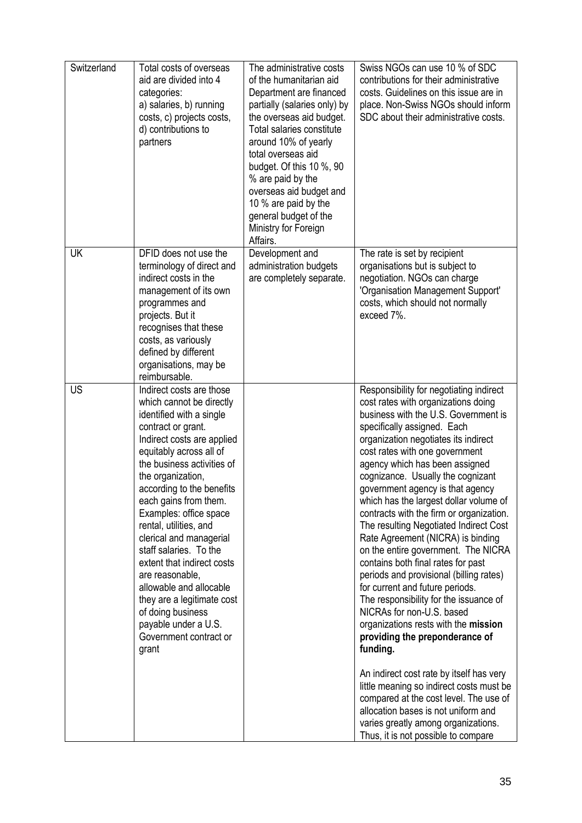| Switzerland | Total costs of overseas<br>aid are divided into 4<br>categories:<br>a) salaries, b) running<br>costs, c) projects costs,<br>d) contributions to<br>partners                                                                                                                                                                                                                                                                                                                                                                                                                 | The administrative costs<br>of the humanitarian aid<br>Department are financed<br>partially (salaries only) by<br>the overseas aid budget.<br>Total salaries constitute<br>around 10% of yearly<br>total overseas aid<br>budget. Of this 10 %, 90<br>% are paid by the<br>overseas aid budget and<br>10 % are paid by the<br>general budget of the<br>Ministry for Foreign<br>Affairs. | Swiss NGOs can use 10 % of SDC<br>contributions for their administrative<br>costs. Guidelines on this issue are in<br>place. Non-Swiss NGOs should inform<br>SDC about their administrative costs.                                                                                                                                                                                                                                                                                                                                                                                                                                                                                                                                                                                                                                                                                                                                                                                                                                                                                             |
|-------------|-----------------------------------------------------------------------------------------------------------------------------------------------------------------------------------------------------------------------------------------------------------------------------------------------------------------------------------------------------------------------------------------------------------------------------------------------------------------------------------------------------------------------------------------------------------------------------|----------------------------------------------------------------------------------------------------------------------------------------------------------------------------------------------------------------------------------------------------------------------------------------------------------------------------------------------------------------------------------------|------------------------------------------------------------------------------------------------------------------------------------------------------------------------------------------------------------------------------------------------------------------------------------------------------------------------------------------------------------------------------------------------------------------------------------------------------------------------------------------------------------------------------------------------------------------------------------------------------------------------------------------------------------------------------------------------------------------------------------------------------------------------------------------------------------------------------------------------------------------------------------------------------------------------------------------------------------------------------------------------------------------------------------------------------------------------------------------------|
| UK          | DFID does not use the<br>terminology of direct and<br>indirect costs in the<br>management of its own<br>programmes and<br>projects. But it<br>recognises that these<br>costs, as variously<br>defined by different<br>organisations, may be<br>reimbursable.                                                                                                                                                                                                                                                                                                                | Development and<br>administration budgets<br>are completely separate.                                                                                                                                                                                                                                                                                                                  | The rate is set by recipient<br>organisations but is subject to<br>negotiation. NGOs can charge<br>'Organisation Management Support'<br>costs, which should not normally<br>exceed 7%.                                                                                                                                                                                                                                                                                                                                                                                                                                                                                                                                                                                                                                                                                                                                                                                                                                                                                                         |
| US          | Indirect costs are those<br>which cannot be directly<br>identified with a single<br>contract or grant.<br>Indirect costs are applied<br>equitably across all of<br>the business activities of<br>the organization,<br>according to the benefits<br>each gains from them.<br>Examples: office space<br>rental, utilities, and<br>clerical and managerial<br>staff salaries. To the<br>extent that indirect costs<br>are reasonable,<br>allowable and allocable<br>they are a legitimate cost<br>of doing business<br>payable under a U.S.<br>Government contract or<br>grant |                                                                                                                                                                                                                                                                                                                                                                                        | Responsibility for negotiating indirect<br>cost rates with organizations doing<br>business with the U.S. Government is<br>specifically assigned. Each<br>organization negotiates its indirect<br>cost rates with one government<br>agency which has been assigned<br>cognizance. Usually the cognizant<br>government agency is that agency<br>which has the largest dollar volume of<br>contracts with the firm or organization.<br>The resulting Negotiated Indirect Cost<br>Rate Agreement (NICRA) is binding<br>on the entire government. The NICRA<br>contains both final rates for past<br>periods and provisional (billing rates)<br>for current and future periods.<br>The responsibility for the issuance of<br>NICRAs for non-U.S. based<br>organizations rests with the mission<br>providing the preponderance of<br>funding.<br>An indirect cost rate by itself has very<br>little meaning so indirect costs must be<br>compared at the cost level. The use of<br>allocation bases is not uniform and<br>varies greatly among organizations.<br>Thus, it is not possible to compare |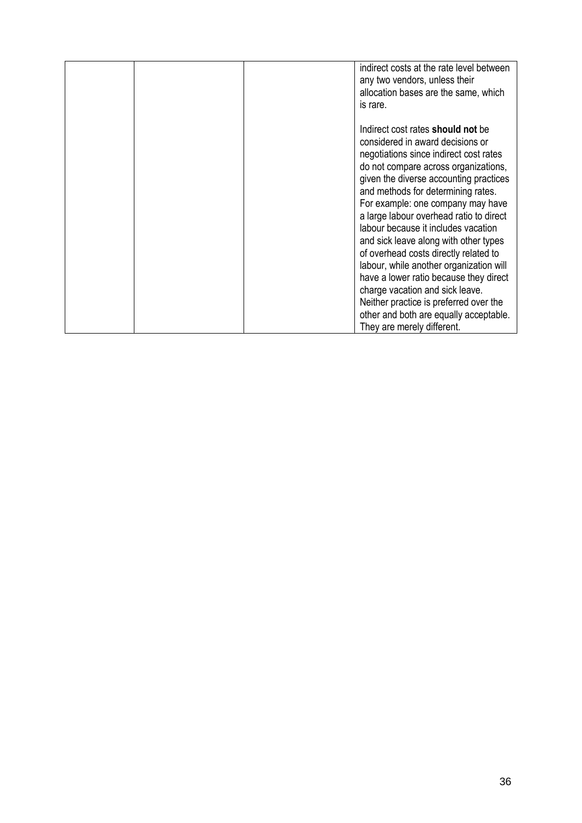|  | indirect costs at the rate level between<br>any two vendors, unless their<br>allocation bases are the same, which<br>is rare.                                                                                                                                                                                                                                                                                                                                                                                                                                                                                                                                                                     |
|--|---------------------------------------------------------------------------------------------------------------------------------------------------------------------------------------------------------------------------------------------------------------------------------------------------------------------------------------------------------------------------------------------------------------------------------------------------------------------------------------------------------------------------------------------------------------------------------------------------------------------------------------------------------------------------------------------------|
|  | Indirect cost rates <b>should not</b> be<br>considered in award decisions or<br>negotiations since indirect cost rates<br>do not compare across organizations,<br>given the diverse accounting practices<br>and methods for determining rates.<br>For example: one company may have<br>a large labour overhead ratio to direct<br>labour because it includes vacation<br>and sick leave along with other types<br>of overhead costs directly related to<br>labour, while another organization will<br>have a lower ratio because they direct<br>charge vacation and sick leave.<br>Neither practice is preferred over the<br>other and both are equally acceptable.<br>They are merely different. |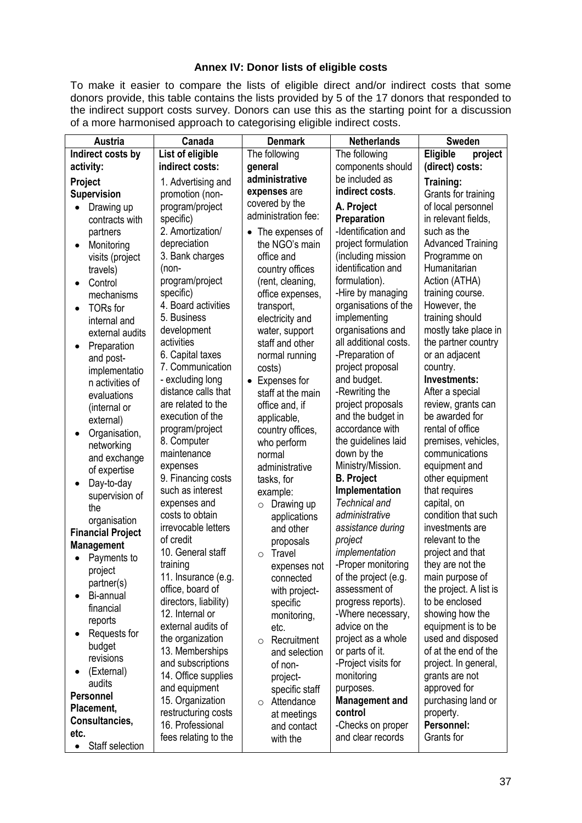#### **Annex IV: Donor lists of eligible costs**

To make it easier to compare the lists of eligible direct and/or indirect costs that some donors provide, this table contains the lists provided by 5 of the 17 donors that responded to the indirect support costs survey. Donors can use this as the starting point for a discussion of a more harmonised approach to categorising eligible indirect costs.

| Austria                      | Canada                | <b>Denmark</b>               | <b>Netherlands</b>    | <b>Sweden</b>            |
|------------------------------|-----------------------|------------------------------|-----------------------|--------------------------|
| Indirect costs by            | List of eligible      | The following                | The following         | Eligible<br>project      |
| activity:                    | indirect costs:       | general                      | components should     | (direct) costs:          |
| Project                      | 1. Advertising and    | administrative               | be included as        | Training:                |
| <b>Supervision</b>           | promotion (non-       | expenses are                 | indirect costs.       | Grants for training      |
| Drawing up<br>$\bullet$      | program/project       | covered by the               | A. Project            | of local personnel       |
| contracts with               | specific)             | administration fee:          | Preparation           | in relevant fields,      |
| partners                     | 2. Amortization/      | The expenses of<br>$\bullet$ | -Identification and   | such as the              |
| Monitoring<br>$\bullet$      | depreciation          | the NGO's main               | project formulation   | <b>Advanced Training</b> |
| visits (project              | 3. Bank charges       | office and                   | (including mission    | Programme on             |
| travels)                     | (non-                 | country offices              | identification and    | Humanitarian             |
| Control<br>٠                 | program/project       | (rent, cleaning,             | formulation).         | Action (ATHA)            |
| mechanisms                   | specific)             | office expenses,             | -Hire by managing     | training course.         |
| <b>TORs</b> for<br>$\bullet$ | 4. Board activities   | transport,                   | organisations of the  | However, the             |
| internal and                 | 5. Business           | electricity and              | implementing          | training should          |
| external audits              | development           | water, support               | organisations and     | mostly take place in     |
|                              | activities            | staff and other              | all additional costs. | the partner country      |
| Preparation                  | 6. Capital taxes      | normal running               | -Preparation of       | or an adjacent           |
| and post-<br>implementatio   | 7. Communication      | costs)                       | project proposal      | country.                 |
| n activities of              | - excluding long      | Expenses for<br>$\bullet$    | and budget.           | Investments:             |
| evaluations                  | distance calls that   | staff at the main            | -Rewriting the        | After a special          |
| (internal or                 | are related to the    | office and, if               | project proposals     | review, grants can       |
| external)                    | execution of the      | applicable,                  | and the budget in     | be awarded for           |
| Organisation,<br>$\bullet$   | program/project       | country offices,             | accordance with       | rental of office         |
| networking                   | 8. Computer           | who perform                  | the guidelines laid   | premises, vehicles,      |
| and exchange                 | maintenance           | normal                       | down by the           | communications           |
| of expertise                 | expenses              | administrative               | Ministry/Mission.     | equipment and            |
| Day-to-day<br>$\bullet$      | 9. Financing costs    | tasks, for                   | <b>B. Project</b>     | other equipment          |
| supervision of               | such as interest      | example:                     | Implementation        | that requires            |
| the                          | expenses and          | Drawing up<br>$\circ$        | <b>Technical and</b>  | capital, on              |
| organisation                 | costs to obtain       | applications                 | administrative        | condition that such      |
| <b>Financial Project</b>     | irrevocable letters   | and other                    | assistance during     | investments are          |
| <b>Management</b>            | of credit             | proposals                    | project               | relevant to the          |
| Payments to                  | 10. General staff     | Travel<br>$\circ$            | implementation        | project and that         |
| project                      | training              | expenses not                 | -Proper monitoring    | they are not the         |
| partner(s)                   | 11. Insurance (e.g.   | connected                    | of the project (e.g.  | main purpose of          |
| Bi-annual                    | office, board of      | with project-                | assessment of         | the project. A list is   |
| financial                    | directors, liability) | specific                     | progress reports).    | to be enclosed           |
| reports                      | 12. Internal or       | monitoring,                  | -Where necessary,     | showing how the          |
| Requests for                 | external audits of    | etc.                         | advice on the         | equipment is to be       |
| budget                       | the organization      | Recruitment<br>$\circ$       | project as a whole    | used and disposed        |
| revisions                    | 13. Memberships       | and selection                | or parts of it.       | of at the end of the     |
| (External)                   | and subscriptions     | of non-                      | -Project visits for   | project. In general,     |
| audits                       | 14. Office supplies   | project-                     | monitoring            | grants are not           |
| <b>Personnel</b>             | and equipment         | specific staff               | purposes.             | approved for             |
| Placement,                   | 15. Organization      | Attendance<br>$\circ$        | <b>Management and</b> | purchasing land or       |
| Consultancies,               | restructuring costs   | at meetings                  | control               | property.                |
| etc.                         | 16. Professional      | and contact                  | -Checks on proper     | Personnel:               |
|                              | fees relating to the  | with the                     | and clear records     | Grants for               |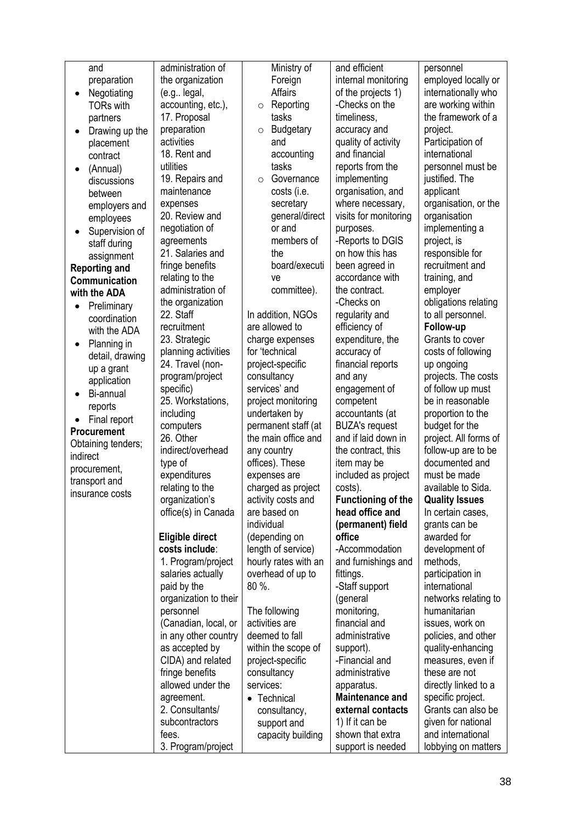| and                       | administration of     | Ministry of                 | and efficient             | personnel             |
|---------------------------|-----------------------|-----------------------------|---------------------------|-----------------------|
| preparation               | the organization      | Foreign                     | internal monitoring       | employed locally or   |
| Negotiating               | (e.g legal,           | <b>Affairs</b>              | of the projects 1)        | internationally who   |
| <b>TORs with</b>          | accounting, etc.),    | Reporting<br>$\circ$        | -Checks on the            | are working within    |
| partners                  | 17. Proposal          | tasks                       | timeliness,               | the framework of a    |
| Drawing up the            | preparation           | <b>Budgetary</b><br>$\circ$ | accuracy and              | project.              |
| placement                 | activities            | and                         | quality of activity       | Participation of      |
| contract                  | 18. Rent and          | accounting                  | and financial             | international         |
| (Annual)                  | utilities             | tasks                       | reports from the          | personnel must be     |
| discussions               | 19. Repairs and       | Governance<br>$\circ$       | implementing              | justified. The        |
| between                   | maintenance           | costs (i.e.                 | organisation, and         | applicant             |
| employers and             | expenses              | secretary                   | where necessary,          | organisation, or the  |
| employees                 | 20. Review and        | general/direct              | visits for monitoring     | organisation          |
| Supervision of            | negotiation of        | or and                      | purposes.                 | implementing a        |
| staff during              | agreements            | members of                  | -Reports to DGIS          | project, is           |
| assignment                | 21. Salaries and      | the                         | on how this has           | responsible for       |
| <b>Reporting and</b>      | fringe benefits       | board/executi               | been agreed in            | recruitment and       |
| <b>Communication</b>      | relating to the       | ve                          | accordance with           | training, and         |
| with the ADA              | administration of     | committee).                 | the contract.             | employer              |
| Preliminary               | the organization      |                             | -Checks on                | obligations relating  |
| coordination              | 22. Staff             | In addition, NGOs           | regularity and            | to all personnel.     |
| with the ADA              | recruitment           | are allowed to              | efficiency of             | Follow-up             |
| Planning in<br>$\bullet$  | 23. Strategic         | charge expenses             | expenditure, the          | Grants to cover       |
| detail, drawing           | planning activities   | for 'technical              | accuracy of               | costs of following    |
|                           | 24. Travel (non-      | project-specific            | financial reports         | up ongoing            |
| up a grant<br>application | program/project       | consultancy                 | and any                   | projects. The costs   |
|                           | specific)             | services' and               | engagement of             | of follow up must     |
| Bi-annual                 | 25. Workstations,     | project monitoring          | competent                 | be in reasonable      |
| reports                   | including             | undertaken by               | accountants (at           | proportion to the     |
| Final report              | computers             | permanent staff (at         | <b>BUZA's request</b>     | budget for the        |
| Procurement               | 26. Other             | the main office and         | and if laid down in       | project. All forms of |
| Obtaining tenders;        | indirect/overhead     | any country                 | the contract, this        | follow-up are to be   |
| indirect                  | type of               | offices). These             | item may be               | documented and        |
| procurement,              | expenditures          | expenses are                | included as project       | must be made          |
| transport and             | relating to the       | charged as project          | costs).                   | available to Sida.    |
| insurance costs           | organization's        | activity costs and          | <b>Functioning of the</b> | <b>Quality Issues</b> |
|                           | office(s) in Canada   | are based on                | head office and           | In certain cases,     |
|                           |                       | individual                  | (permanent) field         | grants can be         |
|                           | Eligible direct       | (depending on               | office                    | awarded for           |
|                           | costs include:        | length of service)          | -Accommodation            | development of        |
|                           | 1. Program/project    | hourly rates with an        | and furnishings and       | methods,              |
|                           | salaries actually     | overhead of up to           | fittings.                 | participation in      |
|                           | paid by the           | 80 %.                       | -Staff support            | international         |
|                           | organization to their |                             | (general                  | networks relating to  |
|                           | personnel             | The following               | monitoring,               | humanitarian          |
|                           | (Canadian, local, or  | activities are              | financial and             | issues, work on       |
|                           | in any other country  | deemed to fall              | administrative            | policies, and other   |
|                           | as accepted by        | within the scope of         | support).                 | quality-enhancing     |
|                           | CIDA) and related     | project-specific            | -Financial and            | measures, even if     |
|                           | fringe benefits       | consultancy                 | administrative            | these are not         |
|                           | allowed under the     | services:                   | apparatus.                | directly linked to a  |
|                           | agreement.            | • Technical                 | <b>Maintenance and</b>    | specific project.     |
|                           | 2. Consultants/       | consultancy,                | external contacts         | Grants can also be    |
|                           | subcontractors        | support and                 | 1) If it can be           | given for national    |
|                           | fees.                 | capacity building           | shown that extra          | and international     |
|                           | 3. Program/project    |                             | support is needed         | lobbying on matters   |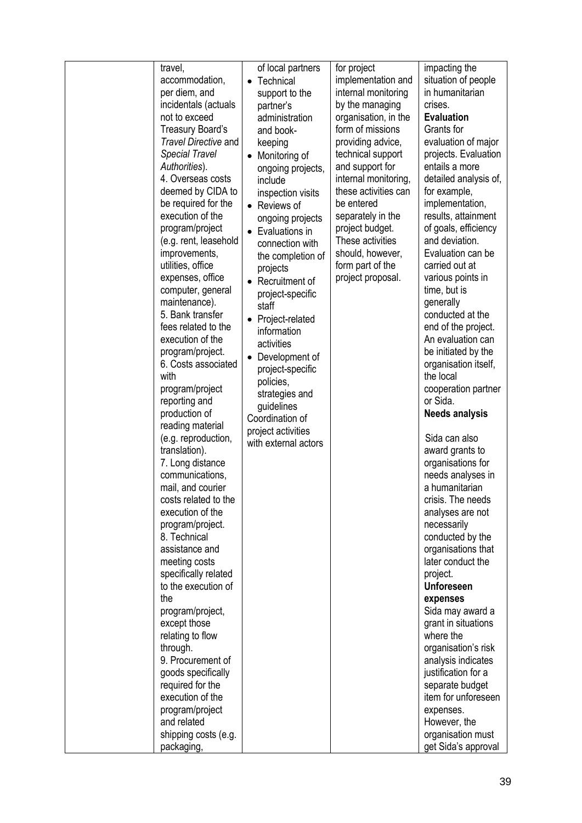| travel,                                   | of local partners      | for project          | impacting the                       |
|-------------------------------------------|------------------------|----------------------|-------------------------------------|
| accommodation,                            | Technical<br>$\bullet$ | implementation and   | situation of people                 |
| per diem, and                             | support to the         | internal monitoring  | in humanitarian                     |
| incidentals (actuals                      | partner's              | by the managing      | crises.                             |
| not to exceed                             | administration         | organisation, in the | <b>Evaluation</b>                   |
| Treasury Board's                          | and book-              | form of missions     | Grants for                          |
| Travel Directive and                      | keeping                | providing advice,    | evaluation of major                 |
| <b>Special Travel</b>                     | • Monitoring of        | technical support    | projects. Evaluation                |
| Authorities).                             | ongoing projects,      | and support for      | entails a more                      |
| 4. Overseas costs                         | include                | internal monitoring, | detailed analysis of,               |
| deemed by CIDA to                         | inspection visits      | these activities can | for example,                        |
| be required for the                       | • Reviews of           | be entered           | implementation,                     |
| execution of the                          | ongoing projects       | separately in the    | results, attainment                 |
| program/project                           | • Evaluations in       | project budget.      | of goals, efficiency                |
| (e.g. rent, leasehold                     | connection with        | These activities     | and deviation.                      |
| improvements,                             | the completion of      | should, however,     | Evaluation can be                   |
| utilities, office                         | projects               | form part of the     | carried out at                      |
| expenses, office                          | • Recruitment of       | project proposal.    | various points in                   |
| computer, general                         | project-specific       |                      | time, but is                        |
| maintenance).                             | staff                  |                      | generally                           |
| 5. Bank transfer                          | • Project-related      |                      | conducted at the                    |
| fees related to the                       | information            |                      | end of the project.                 |
| execution of the                          | activities             |                      | An evaluation can                   |
| program/project.                          | Development of         |                      | be initiated by the                 |
| 6. Costs associated                       | project-specific       |                      | organisation itself,                |
| with                                      | policies,              |                      | the local                           |
| program/project                           | strategies and         |                      | cooperation partner                 |
| reporting and                             | guidelines             |                      | or Sida.                            |
| production of                             | Coordination of        |                      | <b>Needs analysis</b>               |
| reading material                          | project activities     |                      |                                     |
| (e.g. reproduction,                       | with external actors   |                      | Sida can also                       |
| translation).                             |                        |                      | award grants to                     |
| 7. Long distance                          |                        |                      | organisations for                   |
| communications,                           |                        |                      | needs analyses in<br>a humanitarian |
| mail, and courier<br>costs related to the |                        |                      | crisis. The needs                   |
| execution of the                          |                        |                      |                                     |
| program/project.                          |                        |                      | analyses are not<br>necessarily     |
| 8. Technical                              |                        |                      | conducted by the                    |
| assistance and                            |                        |                      | organisations that                  |
| meeting costs                             |                        |                      | later conduct the                   |
| specifically related                      |                        |                      | project.                            |
| to the execution of                       |                        |                      | <b>Unforeseen</b>                   |
| the                                       |                        |                      | expenses                            |
| program/project,                          |                        |                      | Sida may award a                    |
| except those                              |                        |                      | grant in situations                 |
| relating to flow                          |                        |                      | where the                           |
| through.                                  |                        |                      | organisation's risk                 |
| 9. Procurement of                         |                        |                      | analysis indicates                  |
| goods specifically                        |                        |                      | justification for a                 |
| required for the                          |                        |                      | separate budget                     |
| execution of the                          |                        |                      | item for unforeseen                 |
| program/project                           |                        |                      | expenses.                           |
| and related                               |                        |                      | However, the                        |
| shipping costs (e.g.                      |                        |                      | organisation must                   |
| packaging,                                |                        |                      | get Sida's approval                 |